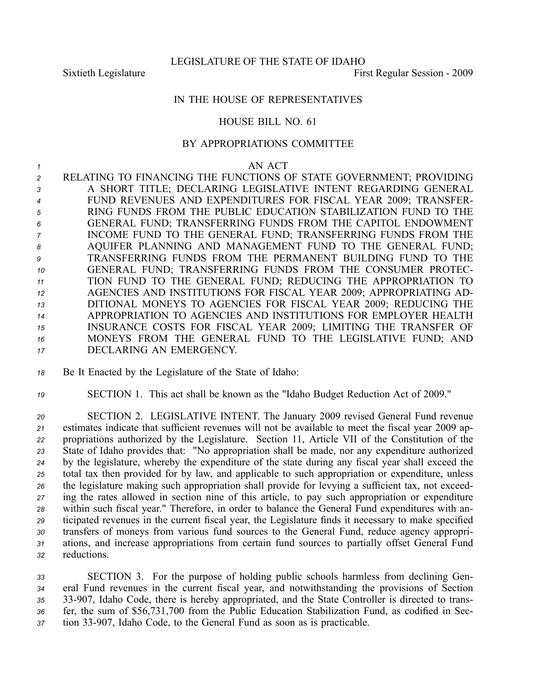## IN THE HOUSE OF REPRESENTATIVES

## HOUSE BILL NO. 61

## BY APPROPRIATIONS COMMITTEE

## *1* AN ACT

 RELATING TO FINANCING THE FUNCTIONS OF STATE GOVERNMENT; PROVIDING A SHORT TITLE; DECLARING LEGISLATIVE INTENT REGARDING GENERAL FUND REVENUES AND EXPENDITURES FOR FISCAL YEAR 2009; TRANSFER- RING FUNDS FROM THE PUBLIC EDUCATION STABILIZATION FUND TO THE GENERAL FUND; TRANSFERRING FUNDS FROM THE CAPITOL ENDOWMENT INCOME FUND TO THE GENERAL FUND; TRANSFERRING FUNDS FROM THE AQUIFER PLANNING AND MANAGEMENT FUND TO THE GENERAL FUND; TRANSFERRING FUNDS FROM THE PERMANENT BUILDING FUND TO THE GENERAL FUND; TRANSFERRING FUNDS FROM THE CONSUMER PROTEC- TION FUND TO THE GENERAL FUND; REDUCING THE APPROPRIATION TO AGENCIES AND INSTITUTIONS FOR FISCAL YEAR 2009; APPROPRIATING AD- DITIONAL MONEYS TO AGENCIES FOR FISCAL YEAR 2009; REDUCING THE APPROPRIATION TO AGENCIES AND INSTITUTIONS FOR EMPLOYER HEALTH INSURANCE COSTS FOR FISCAL YEAR 2009; LIMITING THE TRANSFER OF MONEYS FROM THE GENERAL FUND TO THE LEGISLATIVE FUND; AND DECLARING AN EMERGENCY.

*<sup>18</sup>* Be It Enacted by the Legislature of the State of Idaho:

*<sup>19</sup>* SECTION 1. This act shall be known as the "Idaho Budget Reduction Act of 2009."

 SECTION 2. LEGISLATIVE INTENT. The January 2009 revised General Fund revenue estimates indicate that sufficient revenues will not be available to meet the fiscal year 2009 ap- propriations authorized by the Legislature. Section 11, Article VII of the Constitution of the State of Idaho provides that: "No appropriation shall be made, nor any expenditure authorized by the legislature, whereby the expenditure of the state during any fiscal year shall exceed the total tax then provided for by law, and applicable to such appropriation or expenditure, unless the legislature making such appropriation shall provide for levying <sup>a</sup> sufficient tax, not exceed- ing the rates allowed in section nine of this article, to pay such appropriation or expenditure within such fiscal year." Therefore, in order to balance the General Fund expenditures with an- ticipated revenues in the current fiscal year, the Legislature finds it necessary to make specified transfers of moneys from various fund sources to the General Fund, reduce agency appropri- ations, and increase appropriations from certain fund sources to partially offset General Fund reductions.

 SECTION 3. For the purpose of holding public schools harmless from declining Gen- eral Fund revenues in the current fiscal year, and notwithstanding the provisions of Section 35 33-907, Idaho Code, there is hereby appropriated, and the State Controller is directed to trans- fer, the sum of \$56,731,700 from the Public Education Stabilization Fund, as codified in Sec-tion 33907, Idaho Code, to the General Fund as soon as is practicable.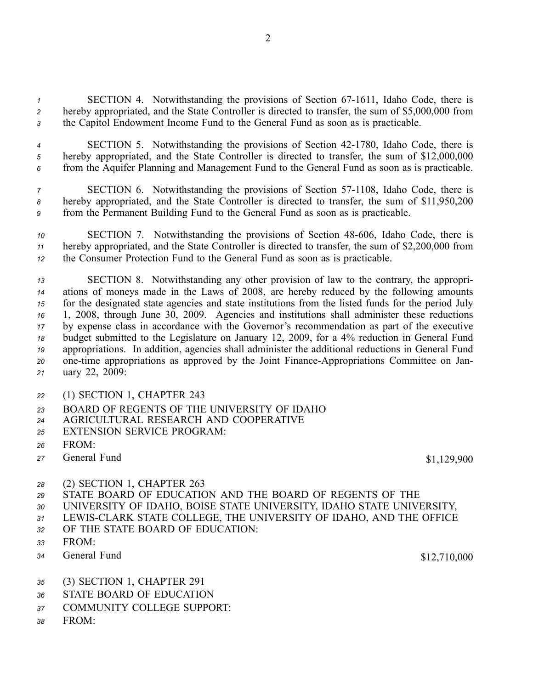*<sup>1</sup>* SECTION 4. Notwithstanding the provisions of Section 671611, Idaho Code, there is *<sup>2</sup>* hereby appropriated, and the State Controller is directed to transfer, the sum of \$5,000,000 from *<sup>3</sup>* the Capitol Endowment Income Fund to the General Fund as soon as is practicable.

*<sup>4</sup>* SECTION 5. Notwithstanding the provisions of Section 421780, Idaho Code, there is *<sup>5</sup>* hereby appropriated, and the State Controller is directed to transfer, the sum of \$12,000,000 *<sup>6</sup>* from the Aquifer Planning and Management Fund to the General Fund as soon as is practicable.

*7* SECTION 6. Notwithstanding the provisions of Section 57-1108, Idaho Code, there is *<sup>8</sup>* hereby appropriated, and the State Controller is directed to transfer, the sum of \$11,950,200 *<sup>9</sup>* from the Permanent Building Fund to the General Fund as soon as is practicable.

*<sup>10</sup>* SECTION 7. Notwithstanding the provisions of Section 48606, Idaho Code, there is *<sup>11</sup>* hereby appropriated, and the State Controller is directed to transfer, the sum of \$2,200,000 from *<sup>12</sup>* the Consumer Protection Fund to the General Fund as soon as is practicable.

 SECTION 8. Notwithstanding any other provision of law to the contrary, the appropri- ations of moneys made in the Laws of 2008, are hereby reduced by the following amounts for the designated state agencies and state institutions from the listed funds for the period July 1, 2008, through June 30, 2009. Agencies and institutions shall administer these reductions by expense class in accordance with the Governor's recommendation as par<sup>t</sup> of the executive budget submitted to the Legislature on January 12, 2009, for <sup>a</sup> 4% reduction in General Fund appropriations. In addition, agencies shall administer the additional reductions in General Fund 20 one-time appropriations as approved by the Joint Finance-Appropriations Committee on Jan-uary 22, 2009:

- *<sup>22</sup>* (1) SECTION 1, CHAPTER 243
- *23* BOARD OF REGENTS OF THE UNIVERSITY OF IDAHO
- *<sup>24</sup>* AGRICULTURAL RESEARCH AND COOPERATIVE
- *25* EXTENSION SERVICE PROGRAM:
- *26* FROM:
- *<sup>27</sup>* General Fund \$1,129,900
- *<sup>28</sup>* (2) SECTION 1, CHAPTER 263
- *29* STATE BOARD OF EDUCATION AND THE BOARD OF REGENTS OF THE
- *<sup>30</sup>* UNIVERSITY OF IDAHO, BOISE STATE UNIVERSITY, IDAHO STATE UNIVERSITY,
- *<sup>31</sup>* LEWISCLARK STATE COLLEGE, THE UNIVERSITY OF IDAHO, AND THE OFFICE
- *32* OF THE STATE BOARD OF EDUCATION:
- *33* FROM:
- *<sup>34</sup>* General Fund \$12,710,000

- *<sup>35</sup>* (3) SECTION 1, CHAPTER 291
- *36* STATE BOARD OF EDUCATION
- *37* COMMUNITY COLLEGE SUPPORT:
- *38* FROM: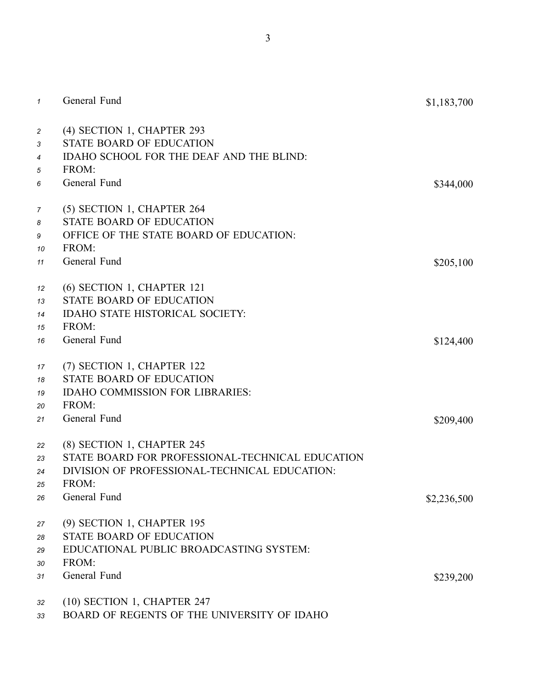| $\mathcal{I}$              | General Fund                                                                                                                                             | \$1,183,700 |
|----------------------------|----------------------------------------------------------------------------------------------------------------------------------------------------------|-------------|
| 2<br>3<br>4<br>5           | (4) SECTION 1, CHAPTER 293<br><b>STATE BOARD OF EDUCATION</b><br>IDAHO SCHOOL FOR THE DEAF AND THE BLIND:<br>FROM:                                       |             |
| 6                          | General Fund                                                                                                                                             | \$344,000   |
| 7<br>8<br>9<br>10          | (5) SECTION 1, CHAPTER 264<br><b>STATE BOARD OF EDUCATION</b><br>OFFICE OF THE STATE BOARD OF EDUCATION:<br>FROM:                                        |             |
| 11                         | General Fund                                                                                                                                             | \$205,100   |
| 12<br>13<br>14<br>15<br>16 | (6) SECTION 1, CHAPTER 121<br>STATE BOARD OF EDUCATION<br>IDAHO STATE HISTORICAL SOCIETY:<br>FROM:<br>General Fund                                       | \$124,400   |
| 17<br>18<br>19<br>20<br>21 | (7) SECTION 1, CHAPTER 122<br>STATE BOARD OF EDUCATION<br><b>IDAHO COMMISSION FOR LIBRARIES:</b><br>FROM:<br>General Fund                                | \$209,400   |
| 22<br>23<br>24<br>25<br>26 | (8) SECTION 1, CHAPTER 245<br>STATE BOARD FOR PROFESSIONAL-TECHNICAL EDUCATION<br>DIVISION OF PROFESSIONAL-TECHNICAL EDUCATION:<br>FROM:<br>General Fund | \$2,236,500 |
| 27<br>28<br>29<br>30       | (9) SECTION 1, CHAPTER 195<br>STATE BOARD OF EDUCATION<br>EDUCATIONAL PUBLIC BROADCASTING SYSTEM:<br>FROM:                                               |             |
| 31                         | General Fund                                                                                                                                             | \$239,200   |
| 32<br>33                   | $(10)$ SECTION 1, CHAPTER 247<br>BOARD OF REGENTS OF THE UNIVERSITY OF IDAHO                                                                             |             |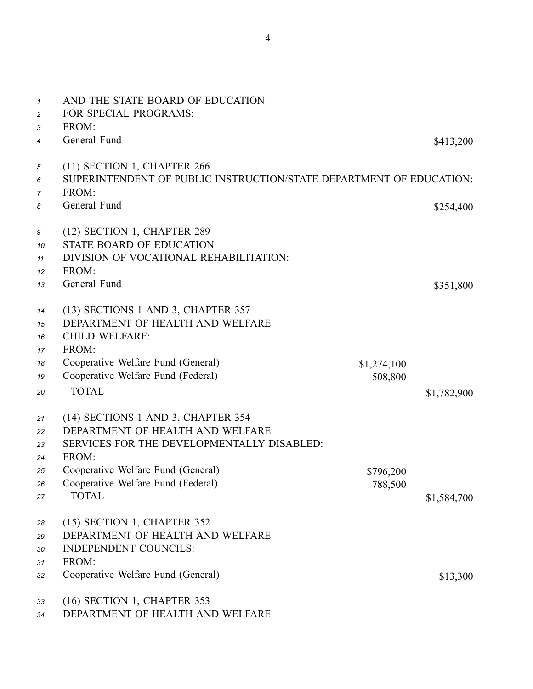| $\mathcal I$   | AND THE STATE BOARD OF EDUCATION                                    |             |             |
|----------------|---------------------------------------------------------------------|-------------|-------------|
| $\overline{c}$ | FOR SPECIAL PROGRAMS:<br>FROM:                                      |             |             |
| 3              | General Fund                                                        |             |             |
| 4              |                                                                     |             | \$413,200   |
| 5              | (11) SECTION 1, CHAPTER 266                                         |             |             |
| 6              | SUPERINTENDENT OF PUBLIC INSTRUCTION/STATE DEPARTMENT OF EDUCATION: |             |             |
| 7              | FROM:                                                               |             |             |
| 8              | General Fund                                                        |             | \$254,400   |
| 9              | (12) SECTION 1, CHAPTER 289                                         |             |             |
| 10             | <b>STATE BOARD OF EDUCATION</b>                                     |             |             |
| 11             | DIVISION OF VOCATIONAL REHABILITATION:                              |             |             |
| 12             | FROM:                                                               |             |             |
| 13             | General Fund                                                        |             | \$351,800   |
| 14             | (13) SECTIONS 1 AND 3, CHAPTER 357                                  |             |             |
| 15             | DEPARTMENT OF HEALTH AND WELFARE                                    |             |             |
| 16             | <b>CHILD WELFARE:</b>                                               |             |             |
| 17             | FROM:                                                               |             |             |
| 18             | Cooperative Welfare Fund (General)                                  | \$1,274,100 |             |
| 19             | Cooperative Welfare Fund (Federal)                                  | 508,800     |             |
| 20             | <b>TOTAL</b>                                                        |             | \$1,782,900 |
|                |                                                                     |             |             |
| 21             | (14) SECTIONS 1 AND 3, CHAPTER 354                                  |             |             |
| 22             | DEPARTMENT OF HEALTH AND WELFARE                                    |             |             |
| 23             | SERVICES FOR THE DEVELOPMENTALLY DISABLED:                          |             |             |
| 24             | FROM:                                                               |             |             |
| 25             | Cooperative Welfare Fund (General)                                  | \$796,200   |             |
| 26             | Cooperative Welfare Fund (Federal)                                  | 788,500     |             |
| 27             | <b>TOTAL</b>                                                        |             | \$1,584,700 |
| 28             | (15) SECTION 1, CHAPTER 352                                         |             |             |
| 29             | DEPARTMENT OF HEALTH AND WELFARE                                    |             |             |
| 30             | <b>INDEPENDENT COUNCILS:</b>                                        |             |             |
| 31             | FROM:                                                               |             |             |
| 32             | Cooperative Welfare Fund (General)                                  |             | \$13,300    |
| 33             | (16) SECTION 1, CHAPTER 353                                         |             |             |
| 34             | DEPARTMENT OF HEALTH AND WELFARE                                    |             |             |
|                |                                                                     |             |             |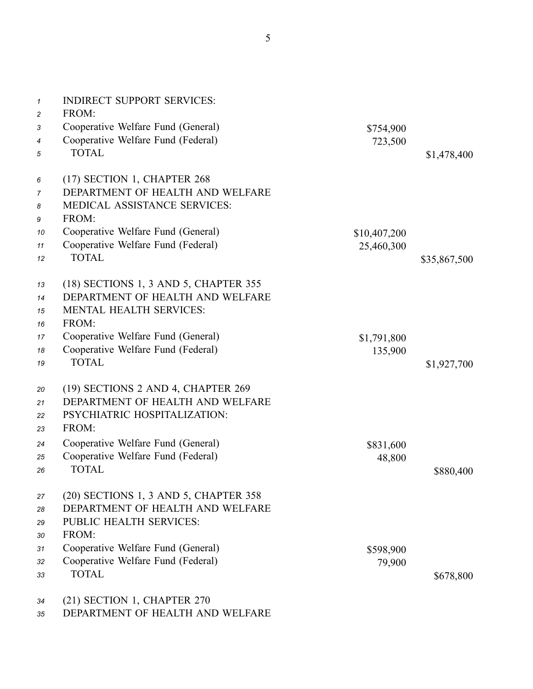5

| $\mathbf{1}$<br>$\overline{c}$ | <b>INDIRECT SUPPORT SERVICES:</b><br>FROM: |              |              |
|--------------------------------|--------------------------------------------|--------------|--------------|
| 3                              | Cooperative Welfare Fund (General)         | \$754,900    |              |
| 4                              | Cooperative Welfare Fund (Federal)         | 723,500      |              |
| 5                              | <b>TOTAL</b>                               |              | \$1,478,400  |
| 6                              | (17) SECTION 1, CHAPTER 268                |              |              |
| 7                              | DEPARTMENT OF HEALTH AND WELFARE           |              |              |
| 8                              | MEDICAL ASSISTANCE SERVICES:               |              |              |
| 9                              | FROM:                                      |              |              |
| 10                             | Cooperative Welfare Fund (General)         | \$10,407,200 |              |
| 11                             | Cooperative Welfare Fund (Federal)         | 25,460,300   |              |
| 12                             | <b>TOTAL</b>                               |              | \$35,867,500 |
| 13                             | (18) SECTIONS 1, 3 AND 5, CHAPTER 355      |              |              |
| 14                             | DEPARTMENT OF HEALTH AND WELFARE           |              |              |
| 15                             | <b>MENTAL HEALTH SERVICES:</b>             |              |              |
| 16                             | FROM:                                      |              |              |
| 17                             | Cooperative Welfare Fund (General)         | \$1,791,800  |              |
| 18                             | Cooperative Welfare Fund (Federal)         | 135,900      |              |
| 19                             | <b>TOTAL</b>                               |              | \$1,927,700  |
| 20                             | (19) SECTIONS 2 AND 4, CHAPTER 269         |              |              |
| 21                             | DEPARTMENT OF HEALTH AND WELFARE           |              |              |
| 22                             | PSYCHIATRIC HOSPITALIZATION:               |              |              |
| 23                             | FROM:                                      |              |              |
| 24                             | Cooperative Welfare Fund (General)         | \$831,600    |              |
| 25                             | Cooperative Welfare Fund (Federal)         | 48,800       |              |
| 26                             | <b>TOTAL</b>                               |              | \$880,400    |
| 27                             | (20) SECTIONS 1, 3 AND 5, CHAPTER 358      |              |              |
| 28                             | DEPARTMENT OF HEALTH AND WELFARE           |              |              |
| 29                             | PUBLIC HEALTH SERVICES:                    |              |              |
| 30                             | FROM:                                      |              |              |
| 31                             | Cooperative Welfare Fund (General)         | \$598,900    |              |
| 32                             | Cooperative Welfare Fund (Federal)         | 79,900       |              |
| 33                             | <b>TOTAL</b>                               |              | \$678,800    |
| 34                             | (21) SECTION 1, CHAPTER 270                |              |              |

*35* DEPARTMENT OF HEALTH AND WELFARE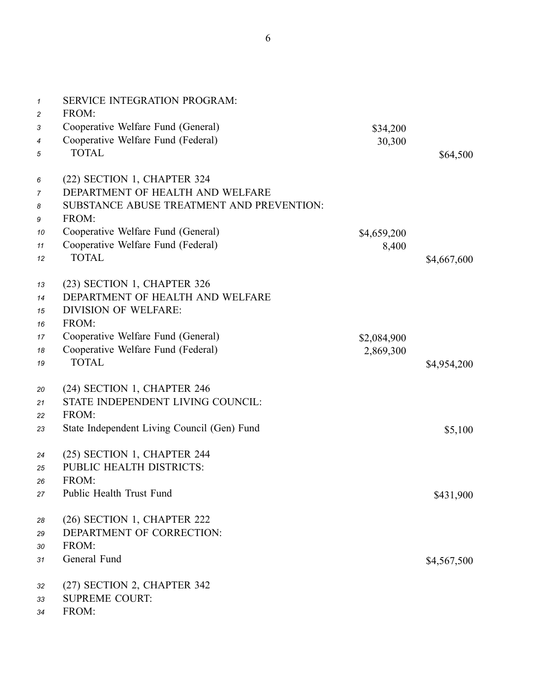| $\mathbf{1}$<br>$\overline{c}$ | <b>SERVICE INTEGRATION PROGRAM:</b><br>FROM: |             |             |
|--------------------------------|----------------------------------------------|-------------|-------------|
| 3                              | Cooperative Welfare Fund (General)           | \$34,200    |             |
| 4                              | Cooperative Welfare Fund (Federal)           | 30,300      |             |
| 5                              | <b>TOTAL</b>                                 |             | \$64,500    |
| 6                              | (22) SECTION 1, CHAPTER 324                  |             |             |
| 7                              | DEPARTMENT OF HEALTH AND WELFARE             |             |             |
| 8                              | SUBSTANCE ABUSE TREATMENT AND PREVENTION:    |             |             |
| 9                              | FROM:                                        |             |             |
| 10                             | Cooperative Welfare Fund (General)           | \$4,659,200 |             |
| 11                             | Cooperative Welfare Fund (Federal)           | 8,400       |             |
| 12                             | <b>TOTAL</b>                                 |             | \$4,667,600 |
| 13                             | (23) SECTION 1, CHAPTER 326                  |             |             |
| 14                             | DEPARTMENT OF HEALTH AND WELFARE             |             |             |
| 15                             | <b>DIVISION OF WELFARE:</b>                  |             |             |
| 16                             | FROM:                                        |             |             |
| 17                             | Cooperative Welfare Fund (General)           | \$2,084,900 |             |
| 18                             | Cooperative Welfare Fund (Federal)           | 2,869,300   |             |
| 19                             | <b>TOTAL</b>                                 |             | \$4,954,200 |
| 20                             | (24) SECTION 1, CHAPTER 246                  |             |             |
| 21                             | STATE INDEPENDENT LIVING COUNCIL:            |             |             |
| 22                             | FROM:                                        |             |             |
| 23                             | State Independent Living Council (Gen) Fund  |             | \$5,100     |
| 24                             | (25) SECTION 1, CHAPTER 244                  |             |             |
| 25                             | PUBLIC HEALTH DISTRICTS:                     |             |             |
| 26                             | FROM:                                        |             |             |
| 27                             | Public Health Trust Fund                     |             | \$431,900   |
| 28                             | (26) SECTION 1, CHAPTER 222                  |             |             |
| 29                             | DEPARTMENT OF CORRECTION:                    |             |             |
| 30                             | FROM:                                        |             |             |
| 31                             | General Fund                                 |             | \$4,567,500 |
| 32                             | (27) SECTION 2, CHAPTER 342                  |             |             |
| 33                             | <b>SUPREME COURT:</b>                        |             |             |

*34* FROM: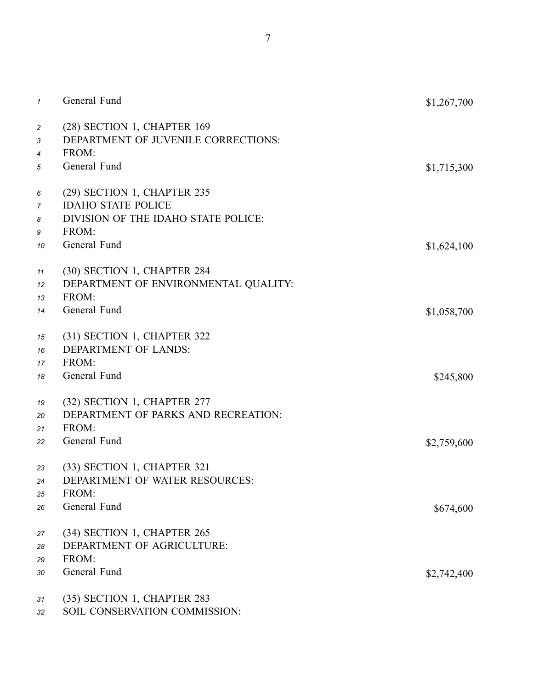| $\mathcal I$                          | General Fund                                                                | \$1,267,700 |
|---------------------------------------|-----------------------------------------------------------------------------|-------------|
| $\overline{c}$<br>3<br>$\overline{4}$ | (28) SECTION 1, CHAPTER 169<br>DEPARTMENT OF JUVENILE CORRECTIONS:<br>FROM: |             |
| 5                                     | General Fund                                                                | \$1,715,300 |
| 6                                     | (29) SECTION 1, CHAPTER 235                                                 |             |
| 7                                     | <b>IDAHO STATE POLICE</b>                                                   |             |
| 8                                     | DIVISION OF THE IDAHO STATE POLICE:                                         |             |
| 9                                     | FROM:<br>General Fund                                                       |             |
| 10                                    |                                                                             | \$1,624,100 |
| 11                                    | (30) SECTION 1, CHAPTER 284                                                 |             |
| 12                                    | DEPARTMENT OF ENVIRONMENTAL QUALITY:                                        |             |
| 13                                    | FROM:                                                                       |             |
| 14                                    | General Fund                                                                | \$1,058,700 |
| 15                                    | (31) SECTION 1, CHAPTER 322                                                 |             |
| 16                                    | <b>DEPARTMENT OF LANDS:</b>                                                 |             |
| 17                                    | FROM:                                                                       |             |
| 18                                    | General Fund                                                                | \$245,800   |
| 19                                    | (32) SECTION 1, CHAPTER 277                                                 |             |
| 20                                    | DEPARTMENT OF PARKS AND RECREATION:                                         |             |
| 21                                    | FROM:                                                                       |             |
| 22                                    | General Fund                                                                | \$2,759,600 |
| 23                                    | (33) SECTION 1, CHAPTER 321                                                 |             |
| 24                                    | DEPARTMENT OF WATER RESOURCES:                                              |             |
| 25                                    | FROM:                                                                       |             |
| 26                                    | General Fund                                                                | \$674,600   |
|                                       |                                                                             |             |
| 27                                    | (34) SECTION 1, CHAPTER 265                                                 |             |
| 28                                    | DEPARTMENT OF AGRICULTURE:                                                  |             |
| 29                                    | FROM:                                                                       |             |
| 30                                    | General Fund                                                                | \$2,742,400 |
| 31                                    | (35) SECTION 1, CHAPTER 283                                                 |             |
| 32                                    | SOIL CONSERVATION COMMISSION:                                               |             |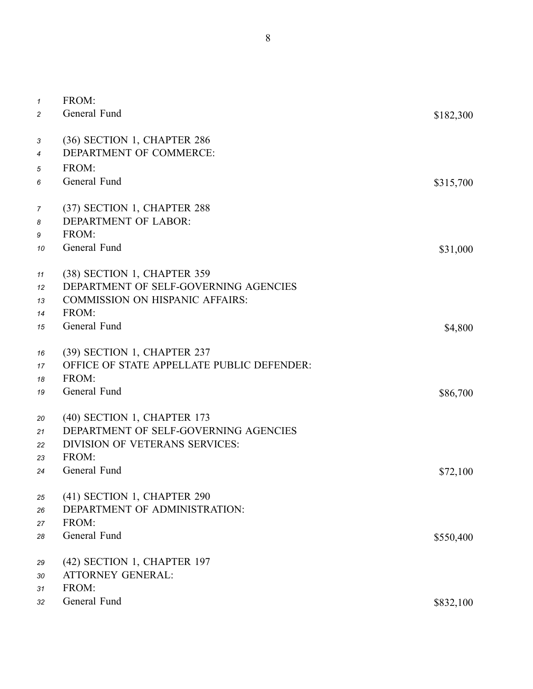| $\mathbf{1}$<br>$\overline{c}$ | FROM:<br>General Fund                                                                                                                   | \$182,300           |
|--------------------------------|-----------------------------------------------------------------------------------------------------------------------------------------|---------------------|
| 3<br>4<br>5<br>6               | (36) SECTION 1, CHAPTER 286<br>DEPARTMENT OF COMMERCE:<br>FROM:<br>General Fund                                                         | \$315,700           |
| $\overline{7}$<br>8<br>9<br>10 | (37) SECTION 1, CHAPTER 288<br><b>DEPARTMENT OF LABOR:</b><br>FROM:<br>General Fund                                                     | \$31,000            |
| 11<br>12<br>13<br>14           | (38) SECTION 1, CHAPTER 359<br>DEPARTMENT OF SELF-GOVERNING AGENCIES<br><b>COMMISSION ON HISPANIC AFFAIRS:</b><br>FROM:<br>General Fund |                     |
| 15<br>16<br>17<br>18<br>19     | (39) SECTION 1, CHAPTER 237<br>OFFICE OF STATE APPELLATE PUBLIC DEFENDER:<br>FROM:<br>General Fund                                      | \$4,800<br>\$86,700 |
| 20<br>21<br>22<br>23<br>24     | (40) SECTION 1, CHAPTER 173<br>DEPARTMENT OF SELF-GOVERNING AGENCIES<br><b>DIVISION OF VETERANS SERVICES:</b><br>FROM:<br>General Fund  | \$72,100            |
| 25<br>26<br>27<br>28           | (41) SECTION 1, CHAPTER 290<br>DEPARTMENT OF ADMINISTRATION:<br>FROM:<br>General Fund                                                   | \$550,400           |
| 29<br>30<br>31<br>32           | (42) SECTION 1, CHAPTER 197<br><b>ATTORNEY GENERAL:</b><br>FROM:<br>General Fund                                                        | \$832,100           |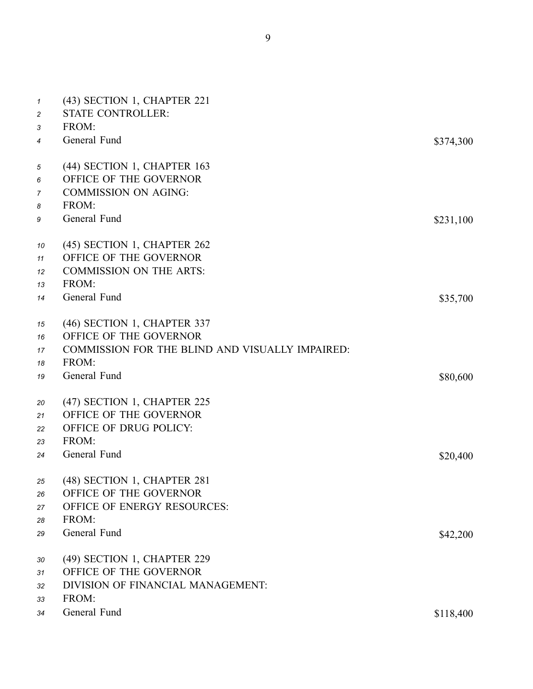| $\mathbf{1}$   | (43) SECTION 1, CHAPTER 221                     |           |
|----------------|-------------------------------------------------|-----------|
| $\overline{c}$ | <b>STATE CONTROLLER:</b>                        |           |
| 3              | FROM:                                           |           |
| 4              | General Fund                                    | \$374,300 |
| 5              | (44) SECTION 1, CHAPTER 163                     |           |
| 6              | OFFICE OF THE GOVERNOR                          |           |
| 7              | <b>COMMISSION ON AGING:</b>                     |           |
| 8              | FROM:                                           |           |
| 9              | General Fund                                    | \$231,100 |
| 10             | (45) SECTION 1, CHAPTER 262                     |           |
| 11             | OFFICE OF THE GOVERNOR                          |           |
| 12             | <b>COMMISSION ON THE ARTS:</b>                  |           |
| 13             | FROM:                                           |           |
| 14             | General Fund                                    | \$35,700  |
| 15             | (46) SECTION 1, CHAPTER 337                     |           |
| 16             | OFFICE OF THE GOVERNOR                          |           |
| 17             | COMMISSION FOR THE BLIND AND VISUALLY IMPAIRED: |           |
| 18             | FROM:                                           |           |
| 19             | General Fund                                    | \$80,600  |
| 20             | (47) SECTION 1, CHAPTER 225                     |           |
| 21             | OFFICE OF THE GOVERNOR                          |           |
| 22             | OFFICE OF DRUG POLICY:                          |           |
| 23             | FROM:                                           |           |
| 24             | General Fund                                    | \$20,400  |
| 25             | (48) SECTION 1, CHAPTER 281                     |           |
| 26             | OFFICE OF THE GOVERNOR                          |           |
| 27             | OFFICE OF ENERGY RESOURCES:                     |           |
| 28             | FROM:                                           |           |
| 29             | General Fund                                    | \$42,200  |
| 30             | (49) SECTION 1, CHAPTER 229                     |           |
| 31             | OFFICE OF THE GOVERNOR                          |           |
| 32             | DIVISION OF FINANCIAL MANAGEMENT:               |           |
| 33             | FROM:                                           |           |

*<sup>34</sup>* General Fund \$118,400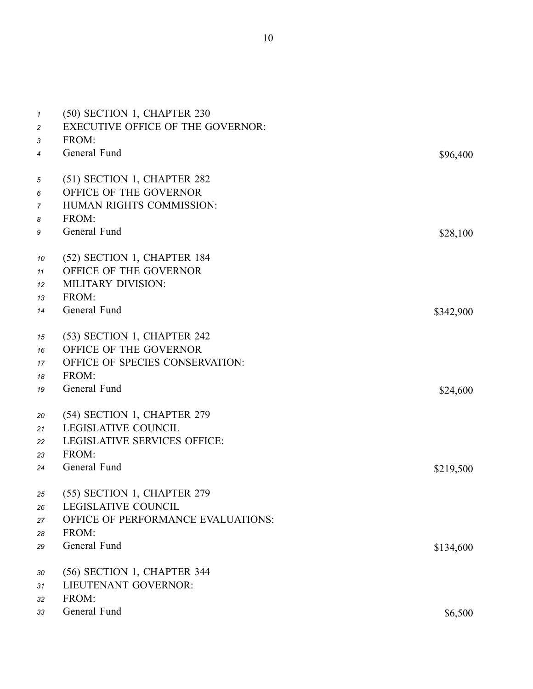| \$96,400  |
|-----------|
|           |
|           |
|           |
|           |
|           |
|           |
|           |
| \$28,100  |
|           |
|           |
|           |
|           |
|           |
| \$342,900 |
|           |
|           |
|           |
|           |
|           |
| \$24,600  |
|           |
|           |
|           |
|           |
|           |
| \$219,500 |
|           |
|           |
|           |
|           |
|           |
| \$134,600 |
|           |
|           |
|           |
|           |
|           |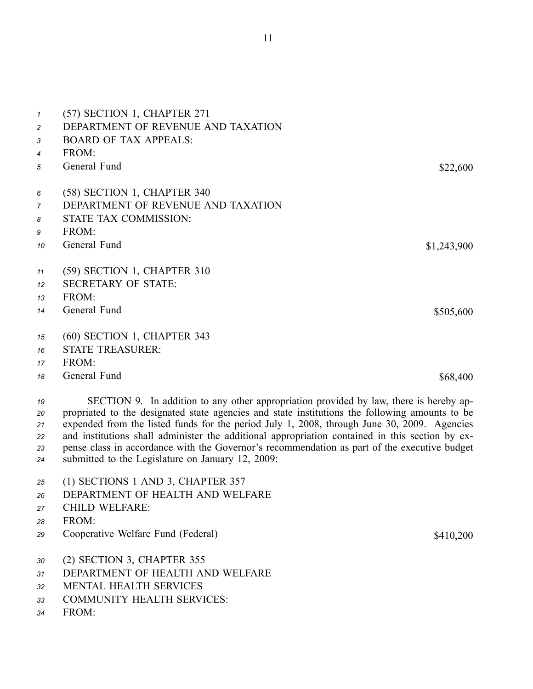| 1              | (57) SECTION 1, CHAPTER 271        |             |
|----------------|------------------------------------|-------------|
| $\overline{c}$ | DEPARTMENT OF REVENUE AND TAXATION |             |
| 3              | <b>BOARD OF TAX APPEALS:</b>       |             |
| 4              | FROM:                              |             |
| 5              | General Fund                       | \$22,600    |
|                |                                    |             |
| 6              | (58) SECTION 1, CHAPTER 340        |             |
| 7              | DEPARTMENT OF REVENUE AND TAXATION |             |
| 8              | STATE TAX COMMISSION:              |             |
| 9              | FROM:                              |             |
| 10             | General Fund                       | \$1,243,900 |
|                |                                    |             |
| 11             | (59) SECTION 1, CHAPTER 310        |             |
| 12             | <b>SECRETARY OF STATE:</b>         |             |
| 13             | FROM:                              |             |
| 14             | General Fund                       | \$505,600   |
| 15             | $(60)$ SECTION 1, CHAPTER 343      |             |
|                | <b>STATE TREASURER:</b>            |             |
| 16             |                                    |             |
| 17             | FROM:                              |             |
| 18             | General Fund                       | \$68,400    |

 SECTION 9. In addition to any other appropriation provided by law, there is hereby ap- propriated to the designated state agencies and state institutions the following amounts to be expended from the listed funds for the period July 1, 2008, through June 30, 2009. Agencies and institutions shall administer the additional appropriation contained in this section by ex- pense class in accordance with the Governor's recommendation as par<sup>t</sup> of the executive budget submitted to the Legislature on January 12, 2009:

- *<sup>25</sup>* (1) SECTIONS 1 AND 3, CHAPTER 357
- *26* DEPARTMENT OF HEALTH AND WELFARE
- *<sup>27</sup>* CHILD WELFARE:
- *28* FROM:
- *<sup>29</sup>* Cooperative Welfare Fund (Federal) \$410,200
- *<sup>30</sup>* (2) SECTION 3, CHAPTER 355
- *31* DEPARTMENT OF HEALTH AND WELFARE
- *32* MENTAL HEALTH SERVICES
- *33* COMMUNITY HEALTH SERVICES:
- *34* FROM: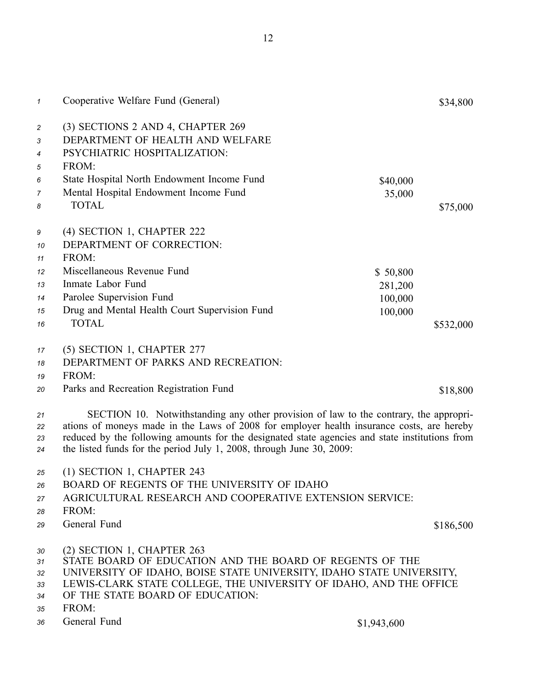| $\mathcal I$             | Cooperative Welfare Fund (General)                                                                                                                                                                                                                                                                                                                           |          | \$34,800  |
|--------------------------|--------------------------------------------------------------------------------------------------------------------------------------------------------------------------------------------------------------------------------------------------------------------------------------------------------------------------------------------------------------|----------|-----------|
| $\overline{c}$<br>3<br>4 | (3) SECTIONS 2 AND 4, CHAPTER 269<br>DEPARTMENT OF HEALTH AND WELFARE<br>PSYCHIATRIC HOSPITALIZATION:                                                                                                                                                                                                                                                        |          |           |
| 5                        | FROM:                                                                                                                                                                                                                                                                                                                                                        |          |           |
| 6                        | State Hospital North Endowment Income Fund                                                                                                                                                                                                                                                                                                                   | \$40,000 |           |
| 7                        | Mental Hospital Endowment Income Fund                                                                                                                                                                                                                                                                                                                        | 35,000   |           |
| 8                        | <b>TOTAL</b>                                                                                                                                                                                                                                                                                                                                                 |          | \$75,000  |
| 9                        | (4) SECTION 1, CHAPTER 222                                                                                                                                                                                                                                                                                                                                   |          |           |
| 10                       | DEPARTMENT OF CORRECTION:                                                                                                                                                                                                                                                                                                                                    |          |           |
| 11                       | FROM:                                                                                                                                                                                                                                                                                                                                                        |          |           |
| 12                       | Miscellaneous Revenue Fund                                                                                                                                                                                                                                                                                                                                   | \$50,800 |           |
| 13                       | Inmate Labor Fund                                                                                                                                                                                                                                                                                                                                            | 281,200  |           |
| 14                       | Parolee Supervision Fund                                                                                                                                                                                                                                                                                                                                     | 100,000  |           |
| 15                       | Drug and Mental Health Court Supervision Fund                                                                                                                                                                                                                                                                                                                | 100,000  |           |
| 16                       | <b>TOTAL</b>                                                                                                                                                                                                                                                                                                                                                 |          | \$532,000 |
| 17                       | (5) SECTION 1, CHAPTER 277                                                                                                                                                                                                                                                                                                                                   |          |           |
| 18                       | DEPARTMENT OF PARKS AND RECREATION:                                                                                                                                                                                                                                                                                                                          |          |           |
| 19                       | FROM:                                                                                                                                                                                                                                                                                                                                                        |          |           |
| 20                       | Parks and Recreation Registration Fund                                                                                                                                                                                                                                                                                                                       |          | \$18,800  |
| 21<br>22<br>23<br>24     | SECTION 10. Notwithstanding any other provision of law to the contrary, the appropri-<br>ations of moneys made in the Laws of 2008 for employer health insurance costs, are hereby<br>reduced by the following amounts for the designated state agencies and state institutions from<br>the listed funds for the period July 1, 2008, through June 30, 2009: |          |           |
| 25                       | (1) SECTION 1, CHAPTER 243                                                                                                                                                                                                                                                                                                                                   |          |           |
| 26                       | BOARD OF REGENTS OF THE UNIVERSITY OF IDAHO                                                                                                                                                                                                                                                                                                                  |          |           |
| 27                       | AGRICULTURAL RESEARCH AND COOPERATIVE EXTENSION SERVICE:                                                                                                                                                                                                                                                                                                     |          |           |
| 28                       | FROM:                                                                                                                                                                                                                                                                                                                                                        |          |           |
| 29                       | General Fund                                                                                                                                                                                                                                                                                                                                                 |          | \$186,500 |
| 30<br>31<br>32<br>33     | (2) SECTION 1, CHAPTER 263<br>STATE BOARD OF EDUCATION AND THE BOARD OF REGENTS OF THE<br>UNIVERSITY OF IDAHO, BOISE STATE UNIVERSITY, IDAHO STATE UNIVERSITY,<br>LEWIS-CLARK STATE COLLEGE, THE UNIVERSITY OF IDAHO, AND THE OFFICE                                                                                                                         |          |           |

- *34* OF THE STATE BOARD OF EDUCATION:
- *35* FROM:
- *<sup>36</sup>* General Fund \$1,943,600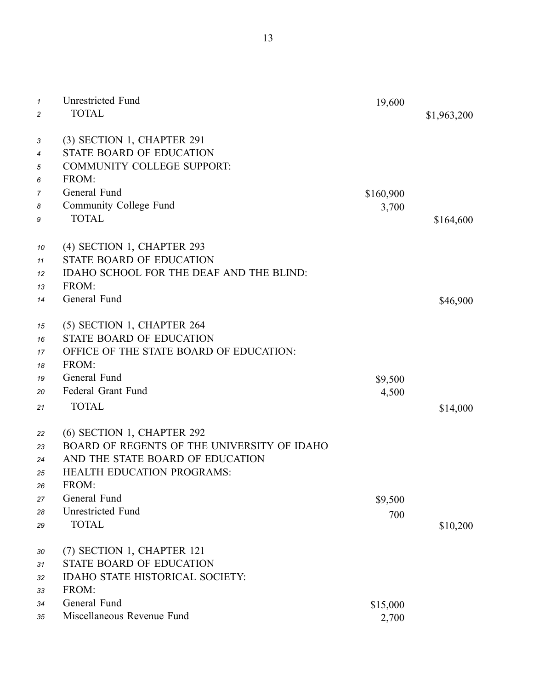| $\mathcal I$ | <b>Unrestricted Fund</b>                    | 19,600    |             |
|--------------|---------------------------------------------|-----------|-------------|
| 2            | <b>TOTAL</b>                                |           | \$1,963,200 |
|              |                                             |           |             |
| 3            | (3) SECTION 1, CHAPTER 291                  |           |             |
| 4            | <b>STATE BOARD OF EDUCATION</b>             |           |             |
| 5            | <b>COMMUNITY COLLEGE SUPPORT:</b>           |           |             |
| 6            | FROM:                                       |           |             |
| 7            | General Fund                                | \$160,900 |             |
| 8            | Community College Fund                      | 3,700     |             |
| 9            | <b>TOTAL</b>                                |           | \$164,600   |
|              |                                             |           |             |
| 10           | (4) SECTION 1, CHAPTER 293                  |           |             |
| 11           | <b>STATE BOARD OF EDUCATION</b>             |           |             |
| 12           | IDAHO SCHOOL FOR THE DEAF AND THE BLIND:    |           |             |
| 13           | FROM:                                       |           |             |
| 14           | General Fund                                |           | \$46,900    |
|              |                                             |           |             |
| 15           | (5) SECTION 1, CHAPTER 264                  |           |             |
| 16           | <b>STATE BOARD OF EDUCATION</b>             |           |             |
| 17           | OFFICE OF THE STATE BOARD OF EDUCATION:     |           |             |
| 18           | FROM:                                       |           |             |
| 19           | General Fund                                | \$9,500   |             |
| 20           | Federal Grant Fund                          | 4,500     |             |
| 21           | <b>TOTAL</b>                                |           | \$14,000    |
|              |                                             |           |             |
| 22           | (6) SECTION 1, CHAPTER 292                  |           |             |
| 23           | BOARD OF REGENTS OF THE UNIVERSITY OF IDAHO |           |             |
| 24           | AND THE STATE BOARD OF EDUCATION            |           |             |
| 25           | <b>HEALTH EDUCATION PROGRAMS:</b>           |           |             |
| 26           | FROM:                                       |           |             |
| 27           | General Fund                                | \$9,500   |             |
| 28           | <b>Unrestricted Fund</b>                    | 700       |             |
| 29           | <b>TOTAL</b>                                |           | \$10,200    |
|              |                                             |           |             |
| 30           | (7) SECTION 1, CHAPTER 121                  |           |             |
| 31           | <b>STATE BOARD OF EDUCATION</b>             |           |             |
| 32           | <b>IDAHO STATE HISTORICAL SOCIETY:</b>      |           |             |
| 33           | FROM:                                       |           |             |
| 34           | General Fund                                | \$15,000  |             |
| 35           | Miscellaneous Revenue Fund                  | 2,700     |             |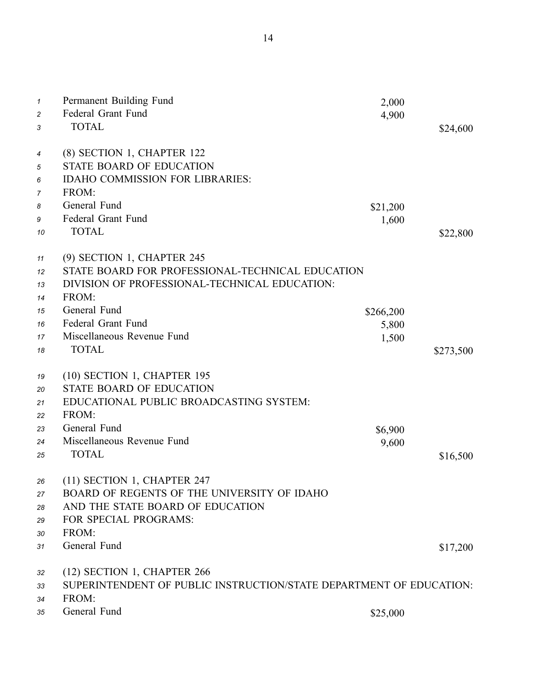| $\mathcal I$<br>2<br>3 | Permanent Building Fund<br>Federal Grant Fund<br><b>TOTAL</b>       | 2,000<br>4,900 | \$24,600  |
|------------------------|---------------------------------------------------------------------|----------------|-----------|
| 4                      | (8) SECTION 1, CHAPTER 122                                          |                |           |
| 5                      | STATE BOARD OF EDUCATION                                            |                |           |
| 6                      | <b>IDAHO COMMISSION FOR LIBRARIES:</b>                              |                |           |
| 7                      | FROM:                                                               |                |           |
| 8                      | General Fund                                                        | \$21,200       |           |
| 9                      | Federal Grant Fund                                                  | 1,600          |           |
| 10                     | <b>TOTAL</b>                                                        |                | \$22,800  |
| 11                     | (9) SECTION 1, CHAPTER 245                                          |                |           |
| 12                     | STATE BOARD FOR PROFESSIONAL-TECHNICAL EDUCATION                    |                |           |
| 13                     | DIVISION OF PROFESSIONAL-TECHNICAL EDUCATION:                       |                |           |
| 14                     | FROM:                                                               |                |           |
| 15                     | General Fund                                                        | \$266,200      |           |
| 16                     | Federal Grant Fund                                                  | 5,800          |           |
| 17                     | Miscellaneous Revenue Fund                                          | 1,500          |           |
| 18                     | <b>TOTAL</b>                                                        |                | \$273,500 |
|                        | (10) SECTION 1, CHAPTER 195                                         |                |           |
| 19                     | <b>STATE BOARD OF EDUCATION</b>                                     |                |           |
| 20                     | EDUCATIONAL PUBLIC BROADCASTING SYSTEM:                             |                |           |
| 21                     | FROM:                                                               |                |           |
| 22                     | General Fund                                                        |                |           |
| 23                     | Miscellaneous Revenue Fund                                          | \$6,900        |           |
| 24                     | <b>TOTAL</b>                                                        | 9,600          |           |
| 25                     |                                                                     |                | \$16,500  |
| 26                     | (11) SECTION 1, CHAPTER 247                                         |                |           |
| 27                     | BOARD OF REGENTS OF THE UNIVERSITY OF IDAHO                         |                |           |
| 28                     | AND THE STATE BOARD OF EDUCATION                                    |                |           |
| 29                     | FOR SPECIAL PROGRAMS:                                               |                |           |
| 30                     | FROM:                                                               |                |           |
| 31                     | General Fund                                                        |                | \$17,200  |
| 32                     | (12) SECTION 1, CHAPTER 266                                         |                |           |
| 33                     | SUPERINTENDENT OF PUBLIC INSTRUCTION/STATE DEPARTMENT OF EDUCATION: |                |           |
| 34                     | FROM:                                                               |                |           |
| 35                     | General Fund                                                        | \$25,000       |           |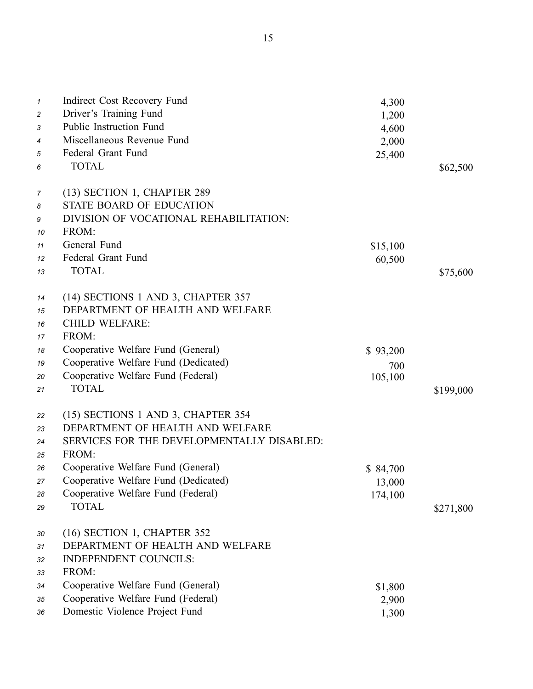| $\mathbf{1}$ | Indirect Cost Recovery Fund                | 4,300    |           |
|--------------|--------------------------------------------|----------|-----------|
| 2            | Driver's Training Fund                     | 1,200    |           |
| 3            | Public Instruction Fund                    | 4,600    |           |
| 4            | Miscellaneous Revenue Fund                 | 2,000    |           |
| 5            | Federal Grant Fund                         | 25,400   |           |
| 6            | <b>TOTAL</b>                               |          | \$62,500  |
|              |                                            |          |           |
| 7            | (13) SECTION 1, CHAPTER 289                |          |           |
| 8            | <b>STATE BOARD OF EDUCATION</b>            |          |           |
| 9            | DIVISION OF VOCATIONAL REHABILITATION:     |          |           |
| 10           | FROM:                                      |          |           |
| 11           | General Fund                               | \$15,100 |           |
| 12           | Federal Grant Fund                         | 60,500   |           |
| 13           | <b>TOTAL</b>                               |          | \$75,600  |
|              |                                            |          |           |
| 14           | (14) SECTIONS 1 AND 3, CHAPTER 357         |          |           |
| 15           | DEPARTMENT OF HEALTH AND WELFARE           |          |           |
| 16           | <b>CHILD WELFARE:</b>                      |          |           |
| 17           | FROM:                                      |          |           |
| 18           | Cooperative Welfare Fund (General)         | \$93,200 |           |
| 19           | Cooperative Welfare Fund (Dedicated)       | 700      |           |
| 20           | Cooperative Welfare Fund (Federal)         | 105,100  |           |
| 21           | <b>TOTAL</b>                               |          | \$199,000 |
|              |                                            |          |           |
| 22           | (15) SECTIONS 1 AND 3, CHAPTER 354         |          |           |
| 23           | DEPARTMENT OF HEALTH AND WELFARE           |          |           |
| 24           | SERVICES FOR THE DEVELOPMENTALLY DISABLED: |          |           |
| 25           | FROM:                                      |          |           |
| 26           | Cooperative Welfare Fund (General)         | \$84,700 |           |
| 27           | Cooperative Welfare Fund (Dedicated)       | 13,000   |           |
| 28           | Cooperative Welfare Fund (Federal)         | 174,100  |           |
| 29           | <b>TOTAL</b>                               |          | \$271,800 |
|              |                                            |          |           |
| 30           | (16) SECTION 1, CHAPTER 352                |          |           |
| 31           | DEPARTMENT OF HEALTH AND WELFARE           |          |           |
| 32           | <b>INDEPENDENT COUNCILS:</b>               |          |           |
| 33           | FROM:                                      |          |           |
| 34           | Cooperative Welfare Fund (General)         | \$1,800  |           |
| 35           | Cooperative Welfare Fund (Federal)         | 2,900    |           |
| 36           | Domestic Violence Project Fund             | 1,300    |           |
|              |                                            |          |           |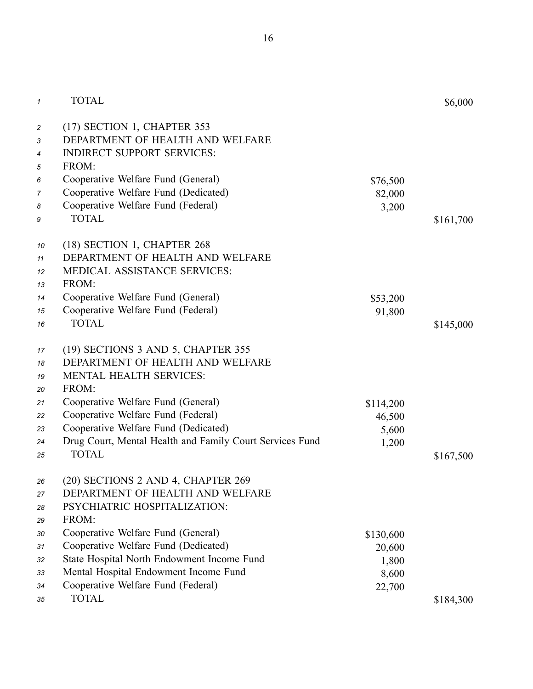| $\mathcal I$                       | <b>TOTAL</b>                                                                                                                                        |           | \$6,000   |
|------------------------------------|-----------------------------------------------------------------------------------------------------------------------------------------------------|-----------|-----------|
| $\overline{c}$<br>3<br>4<br>5<br>6 | (17) SECTION 1, CHAPTER 353<br>DEPARTMENT OF HEALTH AND WELFARE<br><b>INDIRECT SUPPORT SERVICES:</b><br>FROM:<br>Cooperative Welfare Fund (General) | \$76,500  |           |
| 7                                  | Cooperative Welfare Fund (Dedicated)                                                                                                                | 82,000    |           |
| 8                                  | Cooperative Welfare Fund (Federal)                                                                                                                  | 3,200     |           |
| 9                                  | <b>TOTAL</b>                                                                                                                                        |           | \$161,700 |
| 10<br>11<br>12<br>13               | (18) SECTION 1, CHAPTER 268<br>DEPARTMENT OF HEALTH AND WELFARE<br><b>MEDICAL ASSISTANCE SERVICES:</b><br>FROM:                                     |           |           |
| 14                                 | Cooperative Welfare Fund (General)                                                                                                                  | \$53,200  |           |
| 15                                 | Cooperative Welfare Fund (Federal)                                                                                                                  | 91,800    |           |
| 16                                 | <b>TOTAL</b>                                                                                                                                        |           | \$145,000 |
| 17                                 | (19) SECTIONS 3 AND 5, CHAPTER 355                                                                                                                  |           |           |
| 18                                 | DEPARTMENT OF HEALTH AND WELFARE                                                                                                                    |           |           |
| 19                                 | <b>MENTAL HEALTH SERVICES:</b>                                                                                                                      |           |           |
| 20                                 | FROM:                                                                                                                                               |           |           |
| 21                                 | Cooperative Welfare Fund (General)                                                                                                                  | \$114,200 |           |
| 22                                 | Cooperative Welfare Fund (Federal)                                                                                                                  | 46,500    |           |
| 23                                 | Cooperative Welfare Fund (Dedicated)                                                                                                                | 5,600     |           |
| 24                                 | Drug Court, Mental Health and Family Court Services Fund<br><b>TOTAL</b>                                                                            | 1,200     |           |
| 25                                 |                                                                                                                                                     |           | \$167,500 |
| 26                                 | (20) SECTIONS 2 AND 4, CHAPTER 269                                                                                                                  |           |           |
| 27                                 | DEPARTMENT OF HEALTH AND WELFARE                                                                                                                    |           |           |
| 28                                 | PSYCHIATRIC HOSPITALIZATION:                                                                                                                        |           |           |
| 29                                 | FROM:                                                                                                                                               |           |           |
| 30                                 | Cooperative Welfare Fund (General)                                                                                                                  | \$130,600 |           |
| 31                                 | Cooperative Welfare Fund (Dedicated)                                                                                                                | 20,600    |           |
| 32                                 | State Hospital North Endowment Income Fund                                                                                                          | 1,800     |           |
| 33                                 | Mental Hospital Endowment Income Fund                                                                                                               | 8,600     |           |
| 34                                 | Cooperative Welfare Fund (Federal)                                                                                                                  | 22,700    |           |
| 35                                 | <b>TOTAL</b>                                                                                                                                        |           | \$184,300 |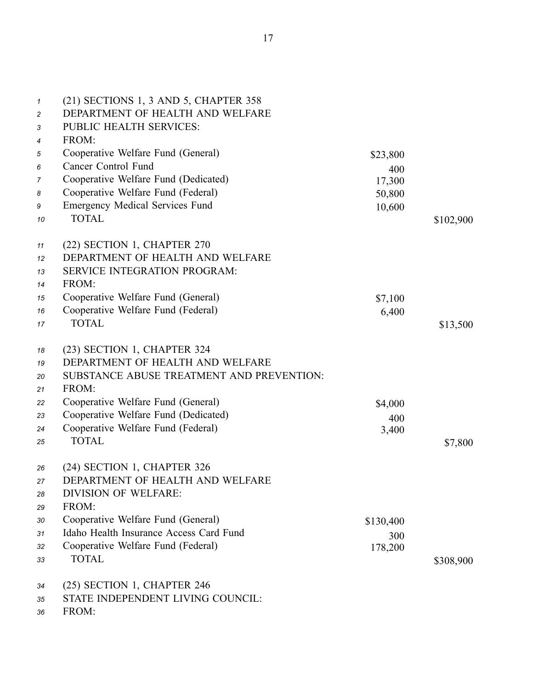| $\boldsymbol{\mathcal{I}}$<br>$\overline{c}$<br>3 | (21) SECTIONS 1, 3 AND 5, CHAPTER 358<br>DEPARTMENT OF HEALTH AND WELFARE<br>PUBLIC HEALTH SERVICES: |               |           |
|---------------------------------------------------|------------------------------------------------------------------------------------------------------|---------------|-----------|
| 4<br>5                                            | FROM:<br>Cooperative Welfare Fund (General)                                                          |               |           |
| 6                                                 | <b>Cancer Control Fund</b>                                                                           | \$23,800      |           |
| 7                                                 | Cooperative Welfare Fund (Dedicated)                                                                 | 400<br>17,300 |           |
| 8                                                 | Cooperative Welfare Fund (Federal)                                                                   | 50,800        |           |
| 9                                                 | <b>Emergency Medical Services Fund</b>                                                               | 10,600        |           |
| 10                                                | <b>TOTAL</b>                                                                                         |               | \$102,900 |
| 11                                                | (22) SECTION 1, CHAPTER 270                                                                          |               |           |
| 12                                                | DEPARTMENT OF HEALTH AND WELFARE                                                                     |               |           |
| 13                                                | <b>SERVICE INTEGRATION PROGRAM:</b>                                                                  |               |           |
| 14                                                | FROM:                                                                                                |               |           |
| 15                                                | Cooperative Welfare Fund (General)                                                                   | \$7,100       |           |
| 16                                                | Cooperative Welfare Fund (Federal)                                                                   | 6,400         |           |
| 17                                                | <b>TOTAL</b>                                                                                         |               | \$13,500  |
| 18                                                | (23) SECTION 1, CHAPTER 324                                                                          |               |           |
| 19                                                | DEPARTMENT OF HEALTH AND WELFARE                                                                     |               |           |
| 20                                                | SUBSTANCE ABUSE TREATMENT AND PREVENTION:                                                            |               |           |
| 21                                                | FROM:                                                                                                |               |           |
| 22                                                | Cooperative Welfare Fund (General)                                                                   | \$4,000       |           |
| 23                                                | Cooperative Welfare Fund (Dedicated)                                                                 | 400           |           |
| 24                                                | Cooperative Welfare Fund (Federal)                                                                   | 3,400         |           |
| 25                                                | <b>TOTAL</b>                                                                                         |               | \$7,800   |
| 26                                                | (24) SECTION 1, CHAPTER 326                                                                          |               |           |
| 27                                                | DEPARTMENT OF HEALTH AND WELFARE                                                                     |               |           |
| 28                                                | <b>DIVISION OF WELFARE:</b>                                                                          |               |           |
| 29                                                | FROM:                                                                                                |               |           |
| 30                                                | Cooperative Welfare Fund (General)                                                                   | \$130,400     |           |
| 31                                                | Idaho Health Insurance Access Card Fund                                                              | 300           |           |
| 32                                                | Cooperative Welfare Fund (Federal)                                                                   | 178,200       |           |
| 33                                                | <b>TOTAL</b>                                                                                         |               | \$308,900 |
| 34                                                | (25) SECTION 1, CHAPTER 246                                                                          |               |           |

*35* STATE INDEPENDENT LIVING COUNCIL:

*36* FROM: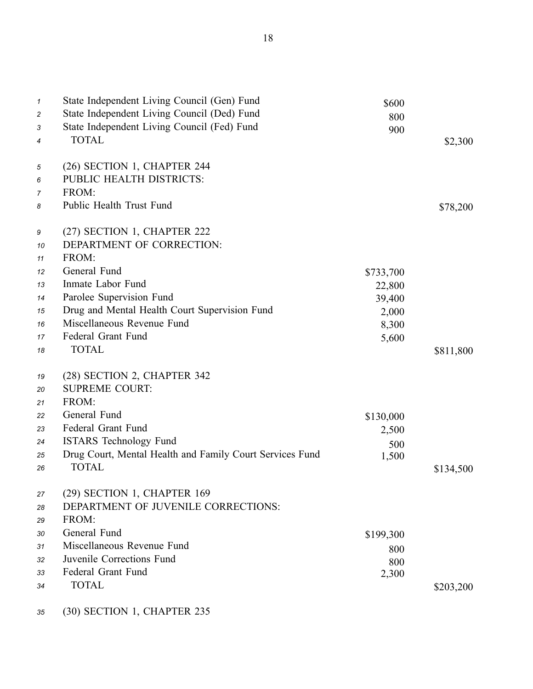| $\mathcal I$<br>2<br>3<br>4 | State Independent Living Council (Gen) Fund<br>State Independent Living Council (Ded) Fund<br>State Independent Living Council (Fed) Fund<br><b>TOTAL</b> | \$600<br>800<br>900 | \$2,300   |
|-----------------------------|-----------------------------------------------------------------------------------------------------------------------------------------------------------|---------------------|-----------|
| 5                           | (26) SECTION 1, CHAPTER 244                                                                                                                               |                     |           |
| 6                           | PUBLIC HEALTH DISTRICTS:                                                                                                                                  |                     |           |
| 7                           | FROM:                                                                                                                                                     |                     |           |
| 8                           | Public Health Trust Fund                                                                                                                                  |                     | \$78,200  |
| 9                           | (27) SECTION 1, CHAPTER 222                                                                                                                               |                     |           |
| 10                          | DEPARTMENT OF CORRECTION:                                                                                                                                 |                     |           |
| 11                          | FROM:                                                                                                                                                     |                     |           |
| 12                          | General Fund                                                                                                                                              | \$733,700           |           |
| 13                          | Inmate Labor Fund                                                                                                                                         | 22,800              |           |
| 14                          | Parolee Supervision Fund                                                                                                                                  | 39,400              |           |
| 15                          | Drug and Mental Health Court Supervision Fund                                                                                                             | 2,000               |           |
| 16                          | Miscellaneous Revenue Fund                                                                                                                                | 8,300               |           |
| 17                          | Federal Grant Fund                                                                                                                                        | 5,600               |           |
| 18                          | <b>TOTAL</b>                                                                                                                                              |                     | \$811,800 |
| 19                          | (28) SECTION 2, CHAPTER 342                                                                                                                               |                     |           |
| 20                          | <b>SUPREME COURT:</b>                                                                                                                                     |                     |           |
| 21                          | FROM:                                                                                                                                                     |                     |           |
| 22                          | General Fund                                                                                                                                              | \$130,000           |           |
| 23                          | Federal Grant Fund                                                                                                                                        | 2,500               |           |
| 24                          | <b>ISTARS</b> Technology Fund                                                                                                                             | 500                 |           |
| 25                          | Drug Court, Mental Health and Family Court Services Fund                                                                                                  | 1,500               |           |
| 26                          | <b>TOTAL</b>                                                                                                                                              |                     | \$134,500 |
| 27                          | (29) SECTION 1, CHAPTER 169                                                                                                                               |                     |           |
| 28                          | DEPARTMENT OF JUVENILE CORRECTIONS:                                                                                                                       |                     |           |
| 29                          | FROM:                                                                                                                                                     |                     |           |
| 30                          | General Fund                                                                                                                                              | \$199,300           |           |
| 31                          | Miscellaneous Revenue Fund                                                                                                                                | 800                 |           |
| 32                          | Juvenile Corrections Fund                                                                                                                                 | 800                 |           |
| 33                          | Federal Grant Fund                                                                                                                                        | 2,300               |           |
| 34                          | <b>TOTAL</b>                                                                                                                                              |                     | \$203,200 |
|                             |                                                                                                                                                           |                     |           |

*<sup>35</sup>* (30) SECTION 1, CHAPTER 235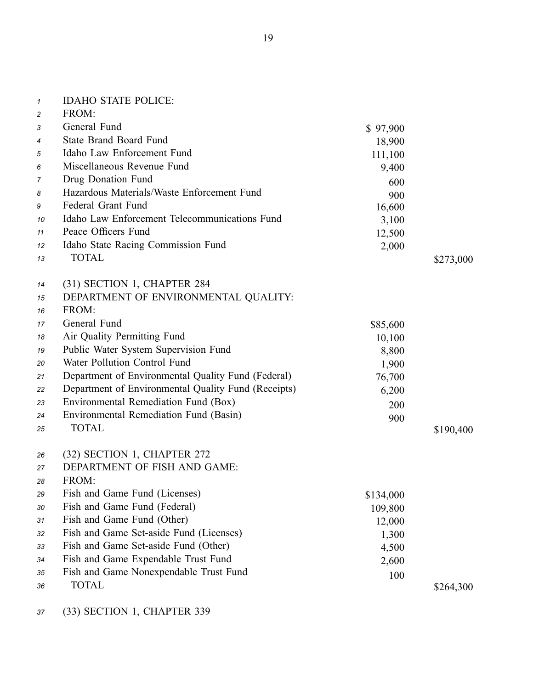| $\mathbf{1}$   | <b>IDAHO STATE POLICE:</b>                          |           |           |
|----------------|-----------------------------------------------------|-----------|-----------|
| $\overline{c}$ | FROM:                                               |           |           |
| 3              | General Fund                                        | \$97,900  |           |
| 4              | <b>State Brand Board Fund</b>                       | 18,900    |           |
| 5              | Idaho Law Enforcement Fund                          | 111,100   |           |
| 6              | Miscellaneous Revenue Fund                          | 9,400     |           |
| 7              | Drug Donation Fund                                  | 600       |           |
| 8              | Hazardous Materials/Waste Enforcement Fund          | 900       |           |
| 9              | Federal Grant Fund                                  | 16,600    |           |
| 10             | Idaho Law Enforcement Telecommunications Fund       | 3,100     |           |
| 11             | Peace Officers Fund                                 | 12,500    |           |
| 12             | Idaho State Racing Commission Fund                  | 2,000     |           |
| 13             | <b>TOTAL</b>                                        |           | \$273,000 |
| 14             | (31) SECTION 1, CHAPTER 284                         |           |           |
| 15             | DEPARTMENT OF ENVIRONMENTAL QUALITY:                |           |           |
| 16             | FROM:                                               |           |           |
| 17             | General Fund                                        | \$85,600  |           |
| 18             | Air Quality Permitting Fund                         | 10,100    |           |
| 19             | Public Water System Supervision Fund                | 8,800     |           |
| 20             | Water Pollution Control Fund                        | 1,900     |           |
| 21             | Department of Environmental Quality Fund (Federal)  | 76,700    |           |
| 22             | Department of Environmental Quality Fund (Receipts) | 6,200     |           |
| 23             | Environmental Remediation Fund (Box)                | 200       |           |
| 24             | Environmental Remediation Fund (Basin)              | 900       |           |
| 25             | <b>TOTAL</b>                                        |           | \$190,400 |
| 26             | (32) SECTION 1, CHAPTER 272                         |           |           |
| 27             | DEPARTMENT OF FISH AND GAME:                        |           |           |
| 28             | FROM:                                               |           |           |
| 29             | Fish and Game Fund (Licenses)                       | \$134,000 |           |
| 30             | Fish and Game Fund (Federal)                        | 109,800   |           |
| 31             | Fish and Game Fund (Other)                          | 12,000    |           |
| 32             | Fish and Game Set-aside Fund (Licenses)             | 1,300     |           |
| 33             | Fish and Game Set-aside Fund (Other)                | 4,500     |           |
| 34             | Fish and Game Expendable Trust Fund                 | 2,600     |           |
| 35             | Fish and Game Nonexpendable Trust Fund              | 100       |           |
| 36             | <b>TOTAL</b>                                        |           | \$264,300 |
|                |                                                     |           |           |

*<sup>37</sup>* (33) SECTION 1, CHAPTER 339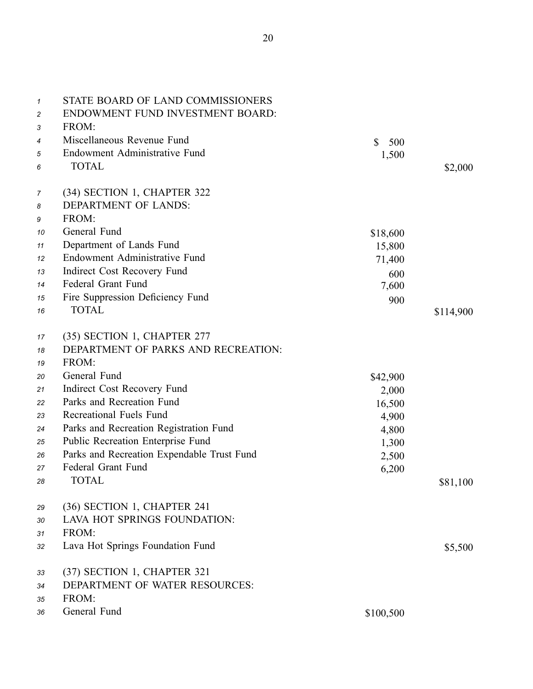| $\mathcal I$ | STATE BOARD OF LAND COMMISSIONERS<br>ENDOWMENT FUND INVESTMENT BOARD: |           |           |
|--------------|-----------------------------------------------------------------------|-----------|-----------|
| 2<br>3       | FROM:                                                                 |           |           |
| 4            | Miscellaneous Revenue Fund                                            | \$<br>500 |           |
| 5            | Endowment Administrative Fund                                         | 1,500     |           |
| 6            | <b>TOTAL</b>                                                          |           | \$2,000   |
|              |                                                                       |           |           |
| 7            | (34) SECTION 1, CHAPTER 322                                           |           |           |
| 8            | DEPARTMENT OF LANDS:                                                  |           |           |
| 9            | FROM:                                                                 |           |           |
| 10           | General Fund                                                          | \$18,600  |           |
| 11           | Department of Lands Fund                                              | 15,800    |           |
| 12           | Endowment Administrative Fund                                         | 71,400    |           |
| 13           | Indirect Cost Recovery Fund                                           | 600       |           |
| 14           | Federal Grant Fund                                                    | 7,600     |           |
| 15           | Fire Suppression Deficiency Fund                                      | 900       |           |
| 16           | <b>TOTAL</b>                                                          |           | \$114,900 |
|              |                                                                       |           |           |
| 17           | (35) SECTION 1, CHAPTER 277                                           |           |           |
| 18           | DEPARTMENT OF PARKS AND RECREATION:                                   |           |           |
| 19           | FROM:                                                                 |           |           |
| 20           | General Fund                                                          | \$42,900  |           |
| 21           | Indirect Cost Recovery Fund                                           | 2,000     |           |
| 22           | Parks and Recreation Fund                                             | 16,500    |           |
| 23           | Recreational Fuels Fund                                               | 4,900     |           |
| 24           | Parks and Recreation Registration Fund                                | 4,800     |           |
| 25           | Public Recreation Enterprise Fund                                     | 1,300     |           |
| 26           | Parks and Recreation Expendable Trust Fund                            | 2,500     |           |
| 27           | Federal Grant Fund                                                    | 6,200     |           |
| 28           | <b>TOTAL</b>                                                          |           | \$81,100  |
|              |                                                                       |           |           |
| 29           | (36) SECTION 1, CHAPTER 241                                           |           |           |
| 30           | LAVA HOT SPRINGS FOUNDATION:                                          |           |           |
| 31           | FROM:                                                                 |           |           |
| 32           | Lava Hot Springs Foundation Fund                                      |           | \$5,500   |
| 33           | (37) SECTION 1, CHAPTER 321                                           |           |           |
| 34           | DEPARTMENT OF WATER RESOURCES:                                        |           |           |
| 35           | FROM:                                                                 |           |           |
| 36           | General Fund                                                          | \$100,500 |           |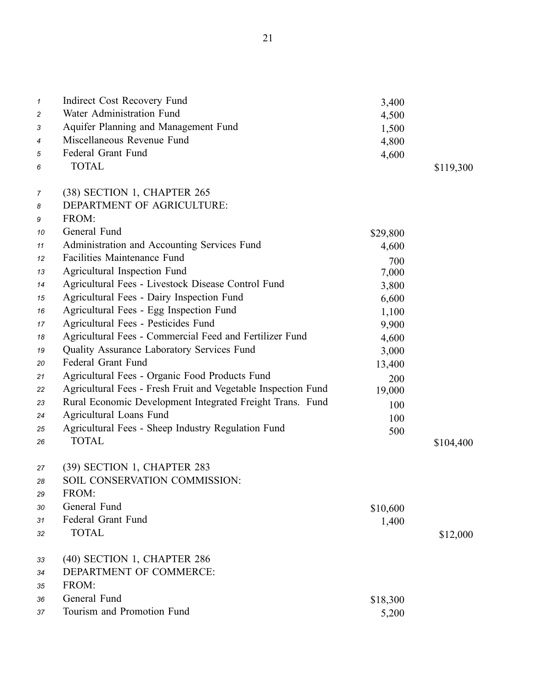| $\mathbf{1}$   | Indirect Cost Recovery Fund                                   | 3,400    |           |
|----------------|---------------------------------------------------------------|----------|-----------|
| $\overline{c}$ | Water Administration Fund                                     | 4,500    |           |
| 3              | Aquifer Planning and Management Fund                          | 1,500    |           |
| 4              | Miscellaneous Revenue Fund                                    | 4,800    |           |
| 5              | Federal Grant Fund                                            | 4,600    |           |
| 6              | <b>TOTAL</b>                                                  |          | \$119,300 |
| 7              | (38) SECTION 1, CHAPTER 265                                   |          |           |
| 8              | DEPARTMENT OF AGRICULTURE:                                    |          |           |
| 9              | FROM:                                                         |          |           |
| 10             | General Fund                                                  | \$29,800 |           |
| 11             | Administration and Accounting Services Fund                   | 4,600    |           |
| 12             | <b>Facilities Maintenance Fund</b>                            | 700      |           |
| 13             | Agricultural Inspection Fund                                  | 7,000    |           |
| 14             | Agricultural Fees - Livestock Disease Control Fund            | 3,800    |           |
| 15             | Agricultural Fees - Dairy Inspection Fund                     | 6,600    |           |
| 16             | Agricultural Fees - Egg Inspection Fund                       | 1,100    |           |
| 17             | Agricultural Fees - Pesticides Fund                           | 9,900    |           |
| 18             | Agricultural Fees - Commercial Feed and Fertilizer Fund       | 4,600    |           |
| 19             | Quality Assurance Laboratory Services Fund                    | 3,000    |           |
| 20             | Federal Grant Fund                                            | 13,400   |           |
| 21             | Agricultural Fees - Organic Food Products Fund                | 200      |           |
| 22             | Agricultural Fees - Fresh Fruit and Vegetable Inspection Fund | 19,000   |           |
| 23             | Rural Economic Development Integrated Freight Trans. Fund     | 100      |           |
| 24             | Agricultural Loans Fund                                       | 100      |           |
| 25             | Agricultural Fees - Sheep Industry Regulation Fund            | 500      |           |
| 26             | <b>TOTAL</b>                                                  |          | \$104,400 |
| 27             | (39) SECTION 1, CHAPTER 283                                   |          |           |
| 28             | SOIL CONSERVATION COMMISSION:                                 |          |           |
| 29             | FROM:                                                         |          |           |
| 30             | General Fund                                                  | \$10,600 |           |
| 31             | Federal Grant Fund                                            | 1,400    |           |
| 32             | <b>TOTAL</b>                                                  |          | \$12,000  |
| 33             | (40) SECTION 1, CHAPTER 286                                   |          |           |
| 34             | DEPARTMENT OF COMMERCE:                                       |          |           |
| 35             | FROM:                                                         |          |           |
| 36             | General Fund                                                  | \$18,300 |           |
| 37             | Tourism and Promotion Fund                                    | 5,200    |           |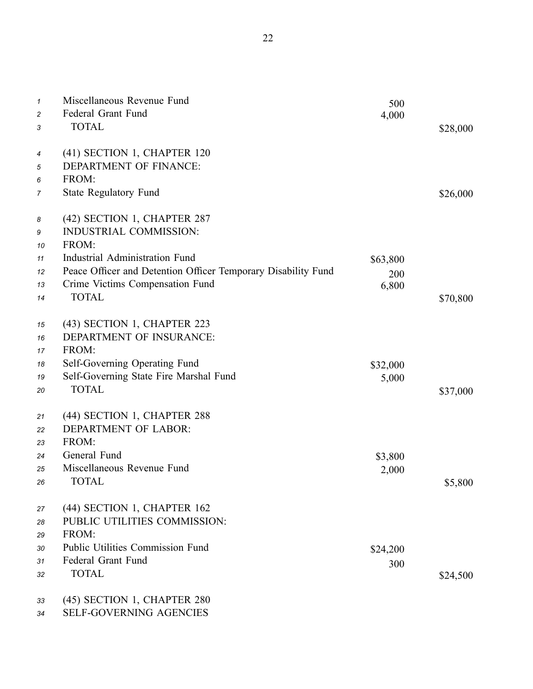| $\mathcal I$ | Miscellaneous Revenue Fund                                    | 500      |          |
|--------------|---------------------------------------------------------------|----------|----------|
| 2            | Federal Grant Fund                                            | 4,000    |          |
| 3            | <b>TOTAL</b>                                                  |          | \$28,000 |
| 4            | (41) SECTION 1, CHAPTER 120                                   |          |          |
| 5            | DEPARTMENT OF FINANCE:                                        |          |          |
| 6            | FROM:                                                         |          |          |
| 7            | <b>State Regulatory Fund</b>                                  |          | \$26,000 |
| 8            | (42) SECTION 1, CHAPTER 287                                   |          |          |
| 9            | <b>INDUSTRIAL COMMISSION:</b>                                 |          |          |
| 10           | FROM:                                                         |          |          |
| 11           | Industrial Administration Fund                                | \$63,800 |          |
| 12           | Peace Officer and Detention Officer Temporary Disability Fund | 200      |          |
| 13           | Crime Victims Compensation Fund                               | 6,800    |          |
| 14           | <b>TOTAL</b>                                                  |          | \$70,800 |
| 15           | (43) SECTION 1, CHAPTER 223                                   |          |          |
| 16           | DEPARTMENT OF INSURANCE:                                      |          |          |
| 17           | FROM:                                                         |          |          |
| 18           | Self-Governing Operating Fund                                 | \$32,000 |          |
| 19           | Self-Governing State Fire Marshal Fund                        | 5,000    |          |
| 20           | <b>TOTAL</b>                                                  |          | \$37,000 |
| 21           | (44) SECTION 1, CHAPTER 288                                   |          |          |
| 22           | DEPARTMENT OF LABOR:                                          |          |          |
| 23           | FROM:                                                         |          |          |
| 24           | General Fund                                                  | \$3,800  |          |
| 25           | Miscellaneous Revenue Fund                                    | 2,000    |          |
| 26           | <b>TOTAL</b>                                                  |          | \$5,800  |
| 27           | (44) SECTION 1, CHAPTER 162                                   |          |          |
| 28           | PUBLIC UTILITIES COMMISSION:                                  |          |          |
| 29           | FROM:                                                         |          |          |
| 30           | <b>Public Utilities Commission Fund</b>                       | \$24,200 |          |
| 31           | Federal Grant Fund                                            | 300      |          |
| 32           | <b>TOTAL</b>                                                  |          | \$24,500 |
| 33           | (45) SECTION 1, CHAPTER 280                                   |          |          |

34 SELF-GOVERNING AGENCIES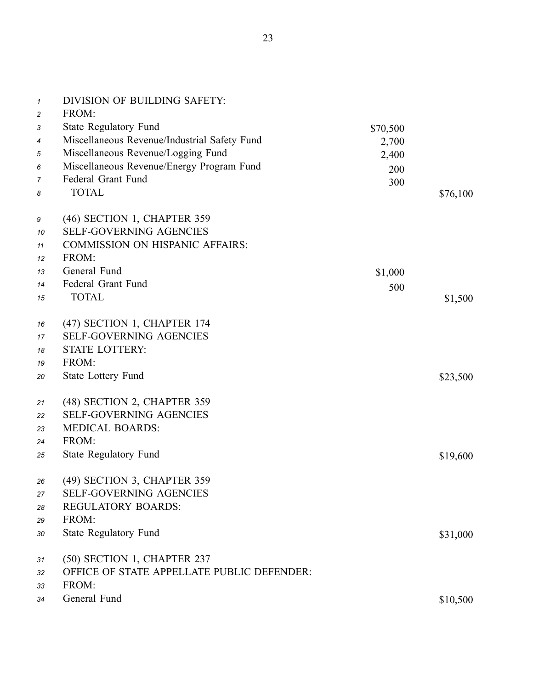| $\mathcal I$   | DIVISION OF BUILDING SAFETY:                 |          |          |
|----------------|----------------------------------------------|----------|----------|
| $\overline{c}$ | FROM:                                        |          |          |
| 3              | <b>State Regulatory Fund</b>                 | \$70,500 |          |
| 4              | Miscellaneous Revenue/Industrial Safety Fund | 2,700    |          |
| 5              | Miscellaneous Revenue/Logging Fund           | 2,400    |          |
| 6              | Miscellaneous Revenue/Energy Program Fund    | 200      |          |
| 7              | Federal Grant Fund                           | 300      |          |
| 8              | <b>TOTAL</b>                                 |          | \$76,100 |
| 9              | (46) SECTION 1, CHAPTER 359                  |          |          |
| 10             | <b>SELF-GOVERNING AGENCIES</b>               |          |          |
| 11             | <b>COMMISSION ON HISPANIC AFFAIRS:</b>       |          |          |
| 12             | FROM:                                        |          |          |
| 13             | General Fund                                 | \$1,000  |          |
| 14             | Federal Grant Fund                           | 500      |          |
| 15             | <b>TOTAL</b>                                 |          | \$1,500  |
| 16             | (47) SECTION 1, CHAPTER 174                  |          |          |
| 17             | <b>SELF-GOVERNING AGENCIES</b>               |          |          |
| 18             | <b>STATE LOTTERY:</b>                        |          |          |
| 19             | FROM:                                        |          |          |
| 20             | <b>State Lottery Fund</b>                    |          | \$23,500 |
| 21             | (48) SECTION 2, CHAPTER 359                  |          |          |
| 22             | <b>SELF-GOVERNING AGENCIES</b>               |          |          |
| 23             | <b>MEDICAL BOARDS:</b>                       |          |          |
| 24             | FROM:                                        |          |          |
| 25             | <b>State Regulatory Fund</b>                 |          | \$19,600 |
| 26             | (49) SECTION 3, CHAPTER 359                  |          |          |
| 27             | SELF-GOVERNING AGENCIES                      |          |          |
| 28             | <b>REGULATORY BOARDS:</b>                    |          |          |
| 29             | FROM:                                        |          |          |
| 30             | <b>State Regulatory Fund</b>                 |          | \$31,000 |
| 31             | (50) SECTION 1, CHAPTER 237                  |          |          |
| 32             | OFFICE OF STATE APPELLATE PUBLIC DEFENDER:   |          |          |
| 33             | FROM:                                        |          |          |
| 34             | General Fund                                 |          | \$10,500 |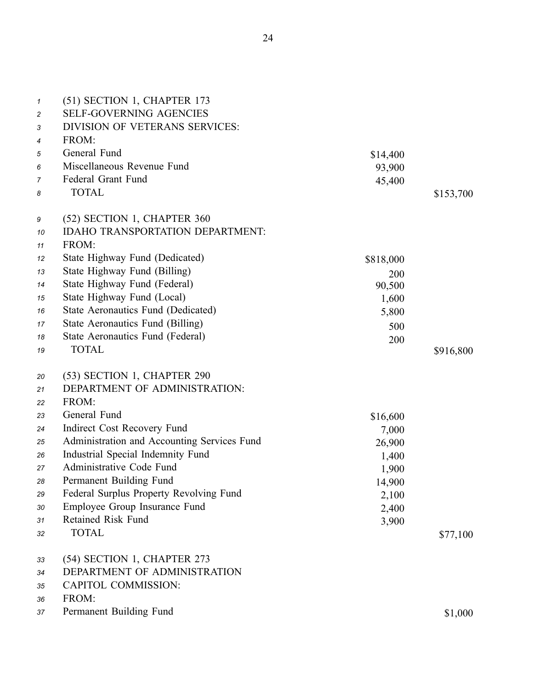| $\mathcal I$<br>$\overline{c}$<br>3<br>4 | (51) SECTION 1, CHAPTER 173<br><b>SELF-GOVERNING AGENCIES</b><br><b>DIVISION OF VETERANS SERVICES:</b><br>FROM: |           |           |
|------------------------------------------|-----------------------------------------------------------------------------------------------------------------|-----------|-----------|
| 5                                        | General Fund                                                                                                    | \$14,400  |           |
| 6                                        | Miscellaneous Revenue Fund                                                                                      | 93,900    |           |
| 7                                        | Federal Grant Fund                                                                                              | 45,400    |           |
| 8                                        | <b>TOTAL</b>                                                                                                    |           | \$153,700 |
| 9                                        | (52) SECTION 1, CHAPTER 360                                                                                     |           |           |
| 10                                       | <b>IDAHO TRANSPORTATION DEPARTMENT:</b>                                                                         |           |           |
| 11                                       | FROM:                                                                                                           |           |           |
| 12                                       | State Highway Fund (Dedicated)                                                                                  | \$818,000 |           |
| 13                                       | State Highway Fund (Billing)                                                                                    | 200       |           |
| 14                                       | State Highway Fund (Federal)                                                                                    | 90,500    |           |
| 15                                       | State Highway Fund (Local)                                                                                      | 1,600     |           |
| 16                                       | State Aeronautics Fund (Dedicated)                                                                              | 5,800     |           |
| 17                                       | State Aeronautics Fund (Billing)                                                                                | 500       |           |
| 18                                       | State Aeronautics Fund (Federal)                                                                                | 200       |           |
| 19                                       | <b>TOTAL</b>                                                                                                    |           | \$916,800 |
| 20                                       | (53) SECTION 1, CHAPTER 290                                                                                     |           |           |
| 21                                       | DEPARTMENT OF ADMINISTRATION:                                                                                   |           |           |
| 22                                       | FROM:                                                                                                           |           |           |
| 23                                       | General Fund                                                                                                    | \$16,600  |           |
| 24                                       | Indirect Cost Recovery Fund                                                                                     | 7,000     |           |
| 25                                       | Administration and Accounting Services Fund                                                                     | 26,900    |           |
| 26                                       | Industrial Special Indemnity Fund                                                                               | 1,400     |           |
| 27                                       | Administrative Code Fund                                                                                        | 1,900     |           |
| 28                                       | Permanent Building Fund                                                                                         | 14,900    |           |
| 29                                       | Federal Surplus Property Revolving Fund                                                                         | 2,100     |           |
| 30                                       | Employee Group Insurance Fund                                                                                   | 2,400     |           |
| 31                                       | <b>Retained Risk Fund</b>                                                                                       | 3,900     |           |
| 32                                       | <b>TOTAL</b>                                                                                                    |           | \$77,100  |
| 33                                       | (54) SECTION 1, CHAPTER 273                                                                                     |           |           |
| 34                                       | DEPARTMENT OF ADMINISTRATION                                                                                    |           |           |
| 35                                       | <b>CAPITOL COMMISSION:</b>                                                                                      |           |           |
| 36                                       | FROM:                                                                                                           |           |           |
| 37                                       | Permanent Building Fund                                                                                         |           | \$1,000   |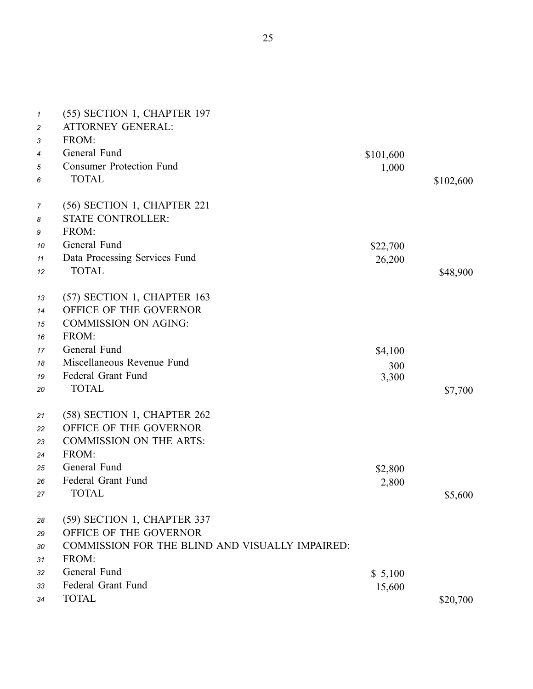| $\boldsymbol{\mathcal{1}}$<br>$\overline{c}$ | (55) SECTION 1, CHAPTER 197<br><b>ATTORNEY GENERAL:</b> |           |           |
|----------------------------------------------|---------------------------------------------------------|-----------|-----------|
| 3                                            | FROM:                                                   |           |           |
| 4                                            | General Fund                                            | \$101,600 |           |
| 5                                            | <b>Consumer Protection Fund</b>                         | 1,000     |           |
| 6                                            | <b>TOTAL</b>                                            |           | \$102,600 |
| 7                                            | (56) SECTION 1, CHAPTER 221                             |           |           |
| 8                                            | <b>STATE CONTROLLER:</b>                                |           |           |
| 9                                            | FROM:                                                   |           |           |
| 10                                           | General Fund                                            | \$22,700  |           |
| 11                                           | Data Processing Services Fund                           | 26,200    |           |
| 12                                           | <b>TOTAL</b>                                            |           | \$48,900  |
| 13                                           | (57) SECTION 1, CHAPTER 163                             |           |           |
| 14                                           | OFFICE OF THE GOVERNOR                                  |           |           |
| 15                                           | <b>COMMISSION ON AGING:</b>                             |           |           |
| 16                                           | FROM:                                                   |           |           |
| 17                                           | General Fund                                            | \$4,100   |           |
| 18                                           | Miscellaneous Revenue Fund                              | 300       |           |
| 19                                           | Federal Grant Fund                                      | 3,300     |           |
| 20                                           | <b>TOTAL</b>                                            |           | \$7,700   |
| 21                                           | (58) SECTION 1, CHAPTER 262                             |           |           |
| 22                                           | OFFICE OF THE GOVERNOR                                  |           |           |
| 23                                           | <b>COMMISSION ON THE ARTS:</b>                          |           |           |
| 24                                           | FROM:                                                   |           |           |
| 25                                           | General Fund                                            | \$2,800   |           |
| 26                                           | Federal Grant Fund                                      | 2,800     |           |
| 27                                           | <b>TOTAL</b>                                            |           | \$5,600   |
| 28                                           | (59) SECTION 1, CHAPTER 337                             |           |           |
| 29                                           | OFFICE OF THE GOVERNOR                                  |           |           |
| 30                                           | COMMISSION FOR THE BLIND AND VISUALLY IMPAIRED:         |           |           |
| 31                                           | FROM:                                                   |           |           |
| 32                                           | General Fund                                            | \$5,100   |           |
| 33                                           | Federal Grant Fund                                      | 15,600    |           |
| 34                                           | <b>TOTAL</b>                                            |           | \$20,700  |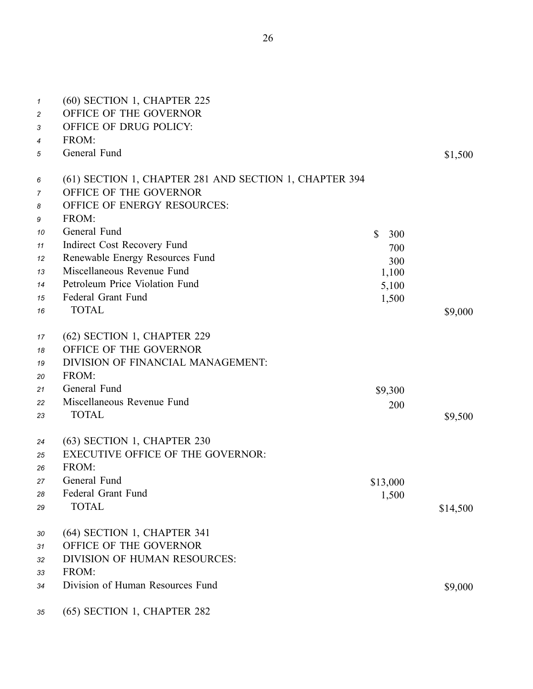| 1              | (60) SECTION 1, CHAPTER 225                            |                     |          |
|----------------|--------------------------------------------------------|---------------------|----------|
| 2              | OFFICE OF THE GOVERNOR                                 |                     |          |
| 3              | OFFICE OF DRUG POLICY:                                 |                     |          |
| 4              | FROM:                                                  |                     |          |
| 5              | General Fund                                           |                     | \$1,500  |
|                |                                                        |                     |          |
| 6              | (61) SECTION 1, CHAPTER 281 AND SECTION 1, CHAPTER 394 |                     |          |
| $\overline{7}$ | OFFICE OF THE GOVERNOR                                 |                     |          |
| 8              | OFFICE OF ENERGY RESOURCES:                            |                     |          |
| 9              | FROM:                                                  |                     |          |
| 10             | General Fund                                           | $\mathbb{S}$<br>300 |          |
| 11             | Indirect Cost Recovery Fund                            | 700                 |          |
| 12             | Renewable Energy Resources Fund                        | 300                 |          |
| 13             | Miscellaneous Revenue Fund                             | 1,100               |          |
| 14             | Petroleum Price Violation Fund                         | 5,100               |          |
| 15             | Federal Grant Fund                                     | 1,500               |          |
| 16             | <b>TOTAL</b>                                           |                     | \$9,000  |
| 17             | (62) SECTION 1, CHAPTER 229                            |                     |          |
| 18             | OFFICE OF THE GOVERNOR                                 |                     |          |
| 19             | DIVISION OF FINANCIAL MANAGEMENT:                      |                     |          |
| 20             | FROM:                                                  |                     |          |
| 21             | General Fund                                           | \$9,300             |          |
| 22             | Miscellaneous Revenue Fund                             |                     |          |
| 23             | <b>TOTAL</b>                                           | 200                 | \$9,500  |
|                |                                                        |                     |          |
| 24             | (63) SECTION 1, CHAPTER 230                            |                     |          |
| 25             | <b>EXECUTIVE OFFICE OF THE GOVERNOR:</b>               |                     |          |
| 26             | FROM:                                                  |                     |          |
| 27             | General Fund                                           | \$13,000            |          |
| 28             | Federal Grant Fund                                     | 1,500               |          |
| 29             | <b>TOTAL</b>                                           |                     | \$14,500 |
| 30             | (64) SECTION 1, CHAPTER 341                            |                     |          |
| 31             | OFFICE OF THE GOVERNOR                                 |                     |          |
| 32             | DIVISION OF HUMAN RESOURCES:                           |                     |          |
| 33             | FROM:                                                  |                     |          |
| 34             | Division of Human Resources Fund                       |                     | \$9,000  |
|                |                                                        |                     |          |
| 35             | (65) SECTION 1, CHAPTER 282                            |                     |          |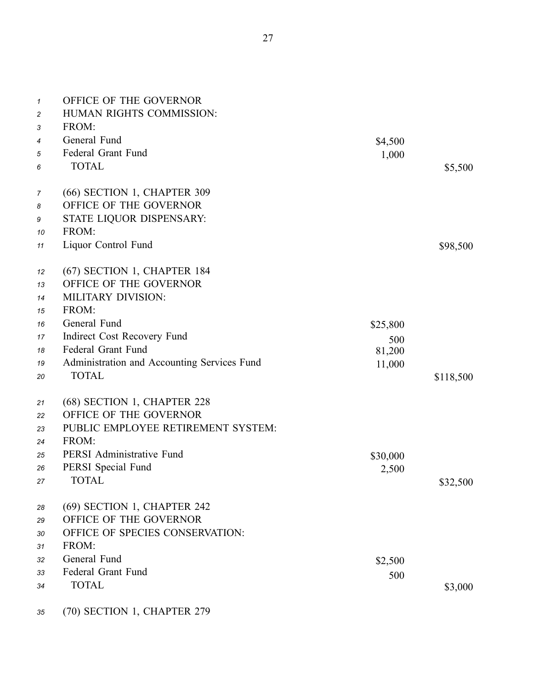| $\mathbf{1}$   | OFFICE OF THE GOVERNOR                      |          |           |
|----------------|---------------------------------------------|----------|-----------|
| $\overline{c}$ | HUMAN RIGHTS COMMISSION:                    |          |           |
| 3              | FROM:                                       |          |           |
| 4              | General Fund                                | \$4,500  |           |
| 5              | Federal Grant Fund                          | 1,000    |           |
| 6              | <b>TOTAL</b>                                |          | \$5,500   |
| 7              | (66) SECTION 1, CHAPTER 309                 |          |           |
| 8              | OFFICE OF THE GOVERNOR                      |          |           |
| 9              | STATE LIQUOR DISPENSARY:                    |          |           |
| 10             | FROM:                                       |          |           |
| 11             | Liquor Control Fund                         |          | \$98,500  |
| 12             | (67) SECTION 1, CHAPTER 184                 |          |           |
| 13             | OFFICE OF THE GOVERNOR                      |          |           |
| 14             | <b>MILITARY DIVISION:</b>                   |          |           |
| 15             | FROM:                                       |          |           |
| 16             | General Fund                                | \$25,800 |           |
| 17             | Indirect Cost Recovery Fund                 | 500      |           |
| 18             | Federal Grant Fund                          | 81,200   |           |
| 19             | Administration and Accounting Services Fund | 11,000   |           |
| 20             | <b>TOTAL</b>                                |          | \$118,500 |
| 21             | (68) SECTION 1, CHAPTER 228                 |          |           |
| 22             | OFFICE OF THE GOVERNOR                      |          |           |
| 23             | PUBLIC EMPLOYEE RETIREMENT SYSTEM:          |          |           |
| 24             | FROM:                                       |          |           |
| 25             | PERSI Administrative Fund                   | \$30,000 |           |
| 26             | PERSI Special Fund                          | 2,500    |           |
| 27             | <b>TOTAL</b>                                |          | \$32,500  |
| 28             | (69) SECTION 1, CHAPTER 242                 |          |           |
| 29             | OFFICE OF THE GOVERNOR                      |          |           |
| 30             | OFFICE OF SPECIES CONSERVATION:             |          |           |
| 31             | FROM:                                       |          |           |
| 32             | General Fund                                | \$2,500  |           |
| 33             | Federal Grant Fund                          | 500      |           |
| 34             | <b>TOTAL</b>                                |          | \$3,000   |
|                |                                             |          |           |

*<sup>35</sup>* (70) SECTION 1, CHAPTER 279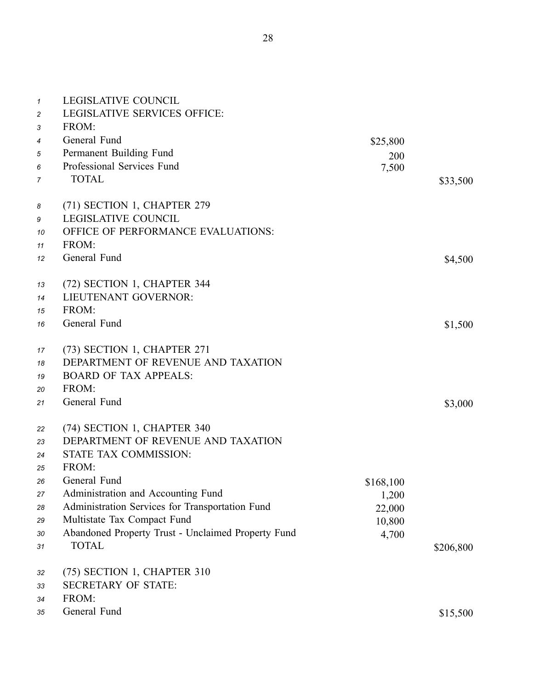| $\mathbf{1}$<br>$\overline{c}$<br>3 | <b>LEGISLATIVE COUNCIL</b><br><b>LEGISLATIVE SERVICES OFFICE:</b><br>FROM: |           |           |
|-------------------------------------|----------------------------------------------------------------------------|-----------|-----------|
| 4                                   | General Fund                                                               | \$25,800  |           |
| 5                                   | Permanent Building Fund                                                    | 200       |           |
| 6                                   | Professional Services Fund                                                 | 7,500     |           |
| $\overline{7}$                      | <b>TOTAL</b>                                                               |           | \$33,500  |
| 8                                   | (71) SECTION 1, CHAPTER 279                                                |           |           |
| 9                                   | <b>LEGISLATIVE COUNCIL</b>                                                 |           |           |
| 10                                  | OFFICE OF PERFORMANCE EVALUATIONS:                                         |           |           |
| 11                                  | FROM:                                                                      |           |           |
| 12                                  | General Fund                                                               |           | \$4,500   |
|                                     |                                                                            |           |           |
| 13                                  | (72) SECTION 1, CHAPTER 344<br>LIEUTENANT GOVERNOR:                        |           |           |
| 14<br>15                            | FROM:                                                                      |           |           |
| 16                                  | General Fund                                                               |           | \$1,500   |
|                                     |                                                                            |           |           |
| 17                                  | (73) SECTION 1, CHAPTER 271                                                |           |           |
| 18                                  | DEPARTMENT OF REVENUE AND TAXATION                                         |           |           |
| 19                                  | <b>BOARD OF TAX APPEALS:</b>                                               |           |           |
| 20                                  | FROM:                                                                      |           |           |
| 21                                  | General Fund                                                               |           | \$3,000   |
| 22                                  | (74) SECTION 1, CHAPTER 340                                                |           |           |
| 23                                  | DEPARTMENT OF REVENUE AND TAXATION                                         |           |           |
| 24                                  | STATE TAX COMMISSION:                                                      |           |           |
| 25                                  | FROM:                                                                      |           |           |
| 26                                  | General Fund                                                               | \$168,100 |           |
| 27                                  | Administration and Accounting Fund                                         | 1,200     |           |
| 28                                  | Administration Services for Transportation Fund                            | 22,000    |           |
| 29                                  | Multistate Tax Compact Fund                                                | 10,800    |           |
| 30                                  | Abandoned Property Trust - Unclaimed Property Fund                         | 4,700     |           |
| 31                                  | <b>TOTAL</b>                                                               |           | \$206,800 |
| 32                                  | (75) SECTION 1, CHAPTER 310                                                |           |           |
| 33                                  | <b>SECRETARY OF STATE:</b>                                                 |           |           |
| 34                                  | FROM:                                                                      |           |           |
| 35                                  | General Fund                                                               |           | \$15,500  |